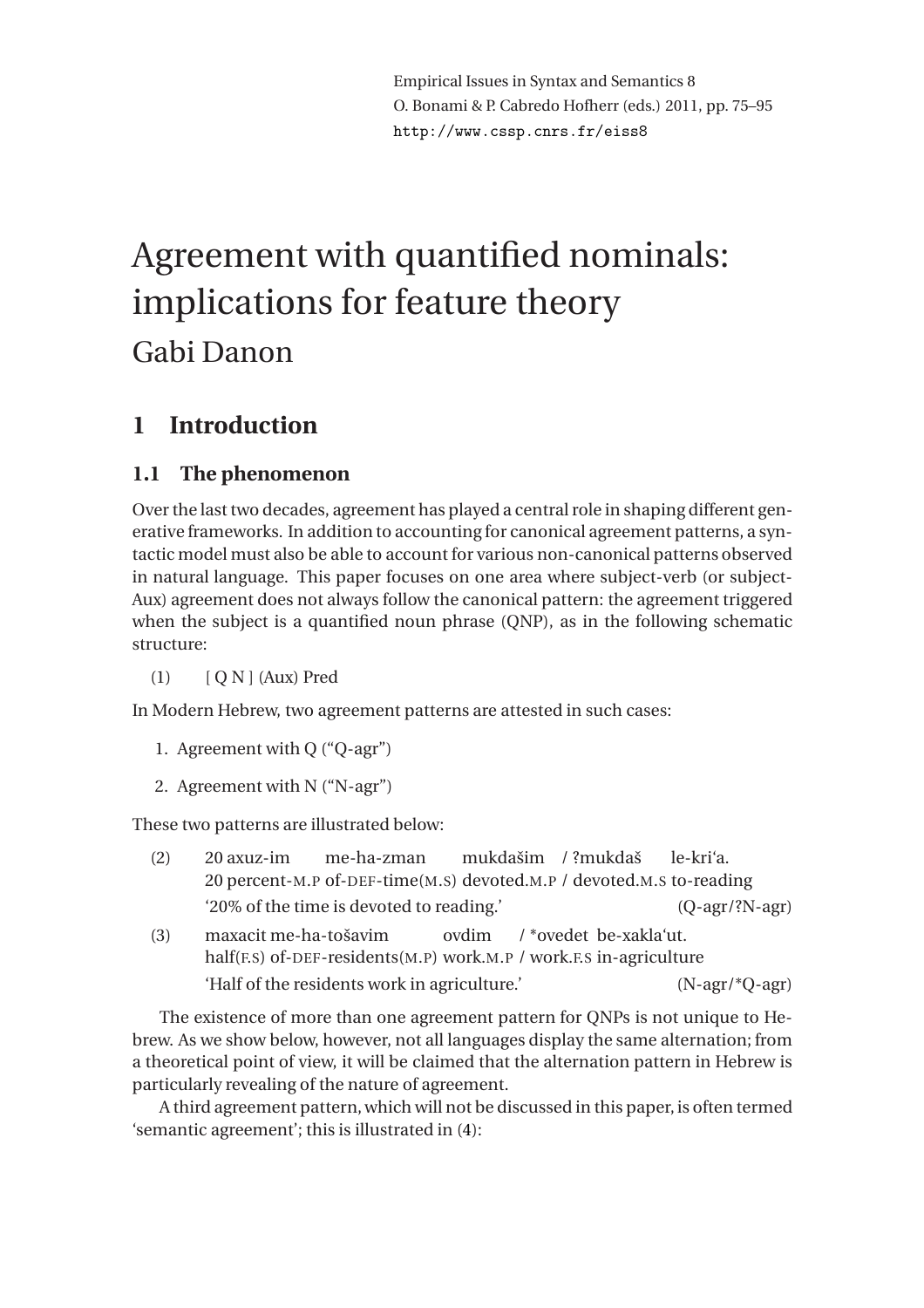# Agreement with quantified nominals: implications for feature theory Gabi Danon

# **1 Introduction**

# **1.1 The phenomenon**

Over the last two decades, agreement has played a central role in shaping different generative frameworks. In addition to accounting for canonical agreement patterns, a syntactic model must also be able to account for various non-canonical patterns observed in natural language. This paper focuses on one area where subject-verb (or subject-Aux) agreement does not always follow the canonical pattern: the agreement triggered when the subject is a quantified noun phrase (QNP), as in the following schematic structure:

(1) [ Q N ] (Aux) Pred

In Modern Hebrew, two agreement patterns are attested in such cases:

- 1. Agreement with Q ("Q-agr")
- 2. Agreement with N ("N-agr")

<span id="page-0-0"></span>These two patterns are illustrated below:

| (2) | 20 axuz-im                                                                                                                               | me-ha-zman                     |  | mukdašim / ?mukdaš le-kri'a. |  |
|-----|------------------------------------------------------------------------------------------------------------------------------------------|--------------------------------|--|------------------------------|--|
|     | 20 percent-M.P of-DEF-time(M.S) devoted.M.P / devoted.M.S to-reading                                                                     |                                |  |                              |  |
|     | '20% of the time is devoted to reading.'                                                                                                 | $(Q$ -agr $/$ ?N-agr $)$       |  |                              |  |
| (3) | maxacit me-ha-tošavim<br>ovdim /*ovedet be-xakla'ut.<br>half( $F.S$ ) of-DEF-residents( $M.P$ ) work. $M.P$ / work. $F.S$ in-agriculture |                                |  |                              |  |
|     | 'Half of the residents work in agriculture.'                                                                                             | $(N\text{-}agr/*Q\text{-}agr)$ |  |                              |  |

The existence of more than one agreement pattern for QNPs is not unique to Hebrew. As we show below, however, not all languages display the same alternation; from a theoretical point of view, it will be claimed that the alternation pattern in Hebrew is particularly revealing of the nature of agreement.

A third agreement pattern, which will not be discussed in this paper, is often termed 'semantic agreement'; this is illustrated in [\(4\)](#page-1-0):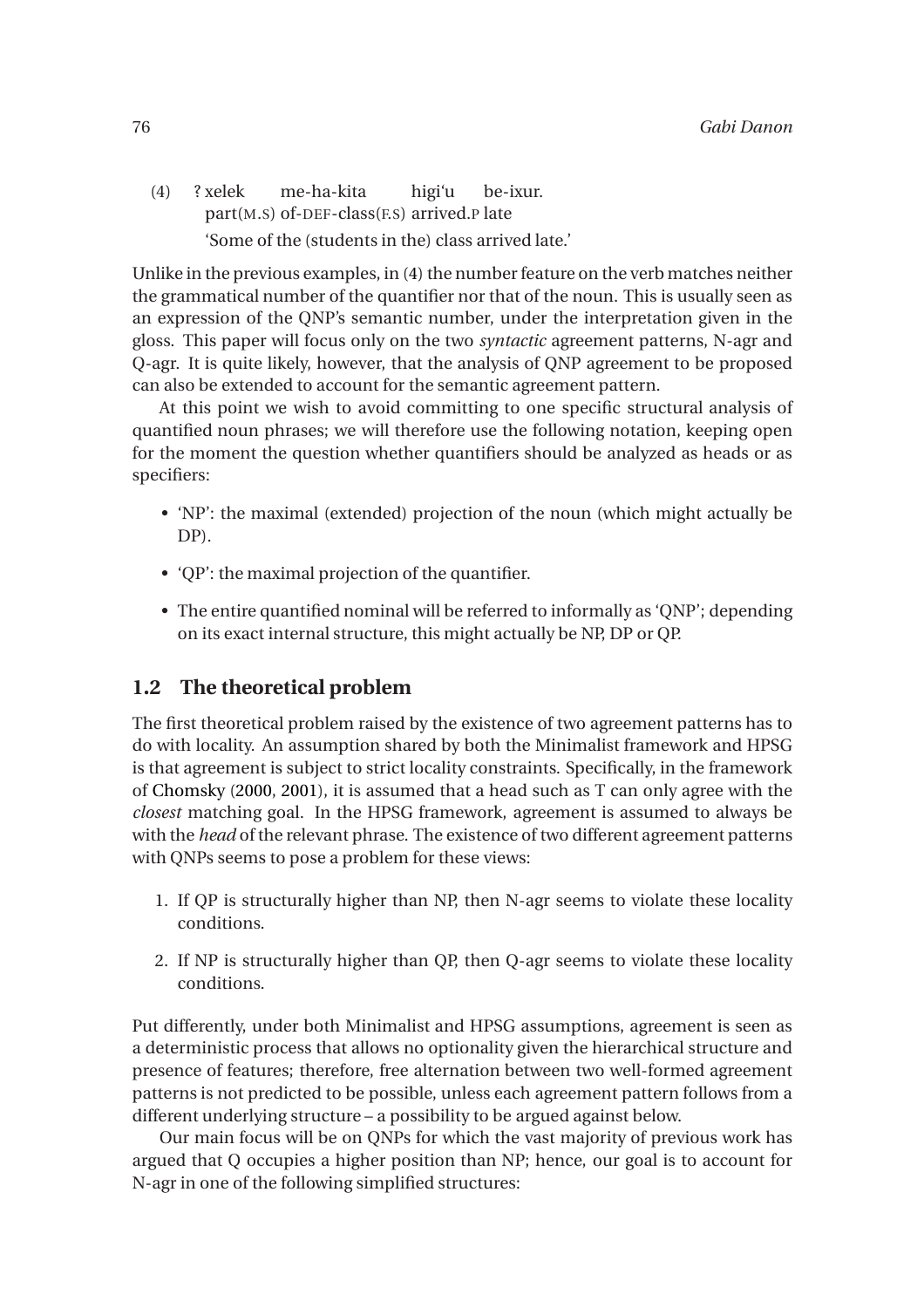<span id="page-1-0"></span>(4) ? xelek part(M.S) of-DEF-class(F.S) arrived.P late me-ha-kita higi'u be-ixur. 'Some of the (students in the) class arrived late.'

Unlike in the previous examples, in [\(4\)](#page-1-0) the number feature on the verb matches neither the grammatical number of the quantifier nor that of the noun. This is usually seen as an expression of the QNP's semantic number, under the interpretation given in the gloss. This paper will focus only on the two *syntactic* agreement patterns, N-agr and Q-agr. It is quite likely, however, that the analysis of QNP agreement to be proposed can also be extended to account for the semantic agreement pattern.

At this point we wish to avoid committing to one specific structural analysis of quantified noun phrases; we will therefore use the following notation, keeping open for the moment the question whether quantifiers should be analyzed as heads or as specifiers:

- 'NP': the maximal (extended) projection of the noun (which might actually be DP).
- 'QP': the maximal projection of the quantifier.
- The entire quantified nominal will be referred to informally as 'QNP'; depending on its exact internal structure, this might actually be NP, DP or QP.

## **1.2 The theoretical problem**

The first theoretical problem raised by the existence of two agreement patterns has to do with locality. An assumption shared by both the Minimalist framework and HPSG is that agreement is subject to strict locality constraints. Specifically, in the framework of [Chomsky](#page-19-0) [\(2000](#page-19-0), [2001\)](#page-19-1), it is assumed that a head such as T can only agree with the *closest* matching goal. In the HPSG framework, agreement is assumed to always be with the *head* of the relevant phrase. The existence of two different agreement patterns with QNPs seems to pose a problem for these views:

- 1. If QP is structurally higher than NP, then N-agr seems to violate these locality conditions.
- 2. If NP is structurally higher than QP, then Q-agr seems to violate these locality conditions.

Put differently, under both Minimalist and HPSG assumptions, agreement is seen as a deterministic process that allows no optionality given the hierarchical structure and presence of features; therefore, free alternation between two well-formed agreement patterns is not predicted to be possible, unless each agreement pattern follows from a different underlying structure – a possibility to be argued against below.

Our main focus will be on QNPs for which the vast majority of previous work has argued that Q occupies a higher position than NP; hence, our goal is to account for N-agr in one of the following simplified structures: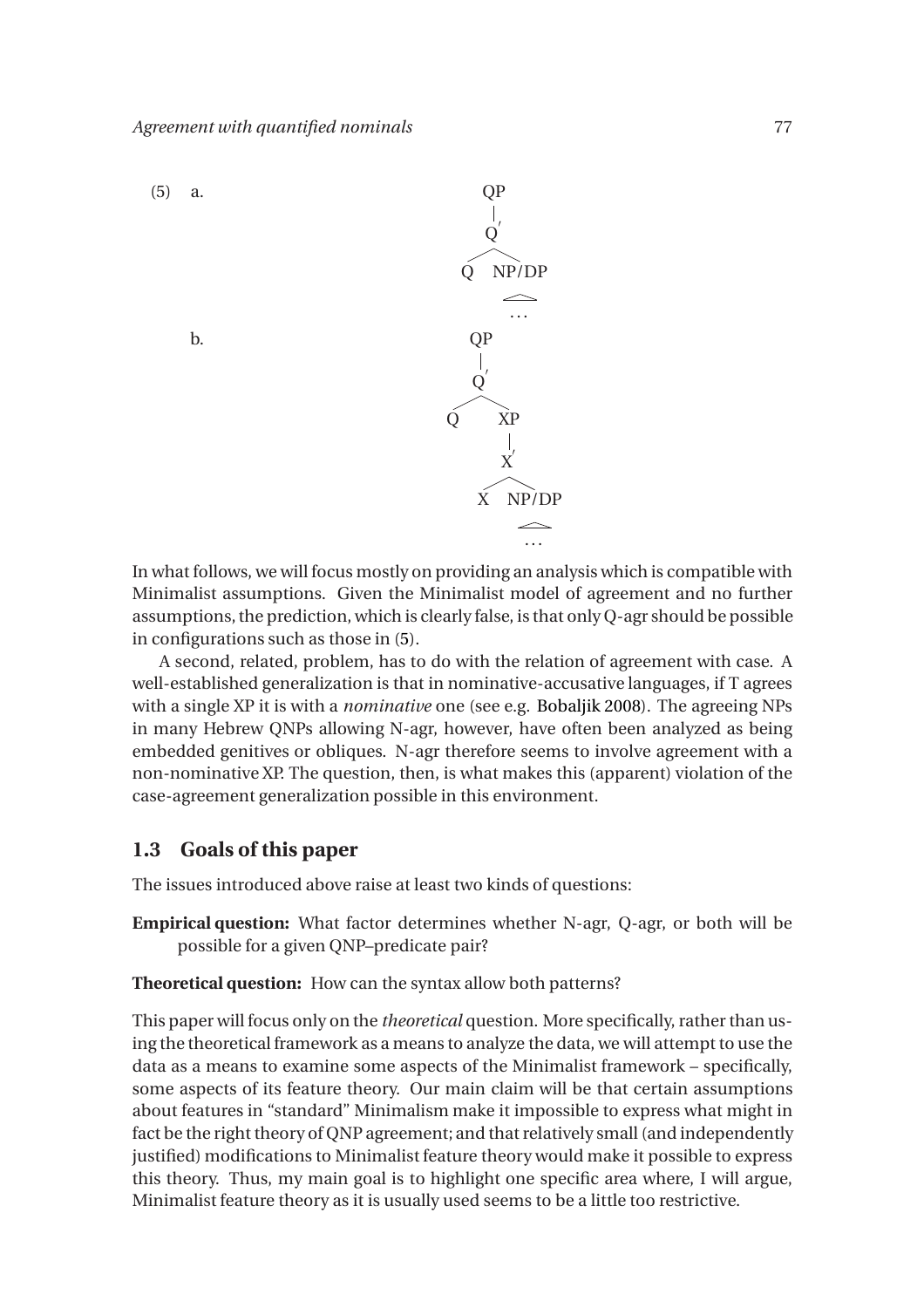<span id="page-2-0"></span>

In what follows, we will focus mostly on providing an analysis which is compatible with Minimalist assumptions. Given the Minimalist model of agreement and no further assumptions, the prediction, which is clearly false, is that only Q-agr should be possible in configurations such as those in [\(5\)](#page-2-0).

A second, related, problem, has to do with the relation of agreement with case. A well-established generalization is that in nominative-accusative languages, if T agrees with a single XP it is with a *nominative* one (see e.g. [Bobaljik 2008\)](#page-19-2). The agreeing NPs in many Hebrew QNPs allowing N-agr, however, have often been analyzed as being embedded genitives or obliques. N-agr therefore seems to involve agreement with a non-nominative XP. The question, then, is what makes this (apparent) violation of the case-agreement generalization possible in this environment.

#### **1.3 Goals of this paper**

The issues introduced above raise at least two kinds of questions:

**Empirical question:** What factor determines whether N-agr, Q-agr, or both will be possible for a given QNP–predicate pair?

**Theoretical question:** How can the syntax allow both patterns?

This paper will focus only on the *theoretical* question. More specifically, rather than using the theoretical framework as a means to analyze the data, we will attempt to use the data as a means to examine some aspects of the Minimalist framework – specifically, some aspects of its feature theory. Our main claim will be that certain assumptions about features in "standard" Minimalism make it impossible to express what might in fact be the right theory of QNP agreement; and that relatively small (and independently justified) modifications to Minimalist feature theory would make it possible to express this theory. Thus, my main goal is to highlight one specific area where, I will argue, Minimalist feature theory as it is usually used seems to be a little too restrictive.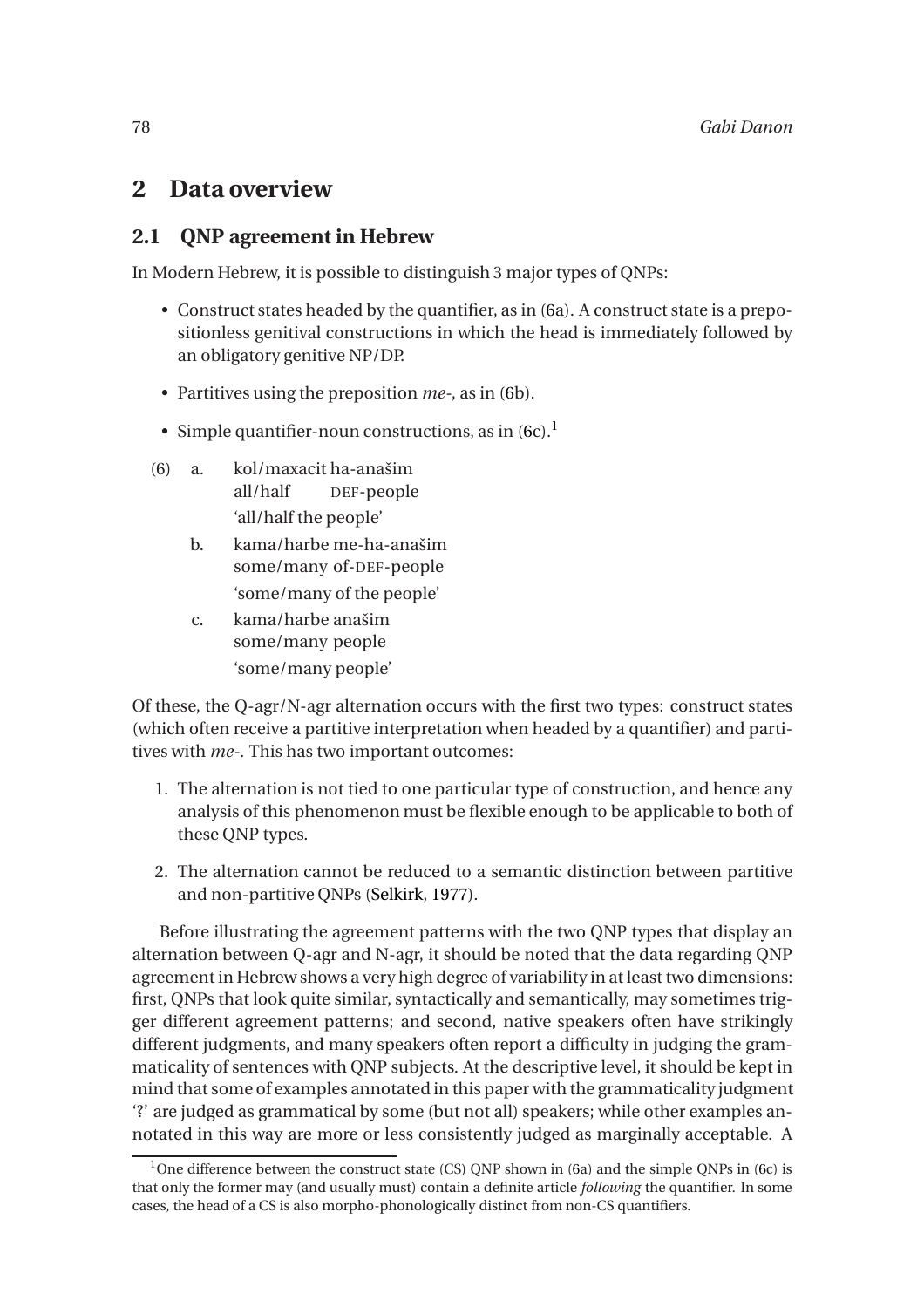# <span id="page-3-1"></span>**2 Data overview**

## **2.1 QNP agreement in Hebrew**

In Modern Hebrew, it is possible to distinguish 3 major types of QNPs:

- Construct states headed by the quantifier, as in [\(6a](#page-3-0)). A construct state is a prepositionless genitival constructions in which the head is immediately followed by an obligatory genitive NP/DP.
- Partitives using the preposition *me-*, as in [\(6b](#page-3-0)).
- Simple quantifier-noun constructions, as in  $(6c)$  $(6c)$ <sup>1</sup>.
- (6) a. kol/maxacit ha-anašim all/half DEF-people 'all/half the people'
	- b. kama/harbe me-ha-anašim some/many of-DEF-people 'some/many of the people'
	- c. kama/harbe anašim some/many people 'some/many people'

<span id="page-3-0"></span>Of these, the Q-agr/N-agr alternation occurs with the first two types: construct states (which often receive a partitive interpretation when headed by a quantifier) and partitives with *me-*. This has two important outcomes:

- 1. The alternation is not tied to one particular type of construction, and hence any analysis of this phenomenon must be flexible enough to be applicable to both of these QNP types.
- 2. The alternation cannot be reduced to a semantic distinction between partitive and non-partitive QNPs [\(Selkirk,](#page-20-0) [1977](#page-20-0)).

Before illustrating the agreement patterns with the two QNP types that display an alternation between Q-agr and N-agr, it should be noted that the data regarding QNP agreement in Hebrew shows a very high degree of variability in at least two dimensions: first, QNPs that look quite similar, syntactically and semantically, may sometimes trigger different agreement patterns; and second, native speakers often have strikingly different judgments, and many speakers often report a difficulty in judging the grammaticality of sentences with QNP subjects. At the descriptive level, it should be kept in mind that some of examples annotated in this paper with the grammaticality judgment '?' are judged as grammatical by some (but not all) speakers; while other examples annotated in this way are more or less consistently judged as marginally acceptable. A

<sup>&</sup>lt;sup>1</sup>One difference between the construct state (CS) ONP shown in [\(6a](#page-3-0)) and the simple ONPs in [\(6c](#page-3-0)) is that only the former may (and usually must) contain a definite article *following* the quantifier. In some cases, the head of a CS is also morpho-phonologically distinct from non-CS quantifiers.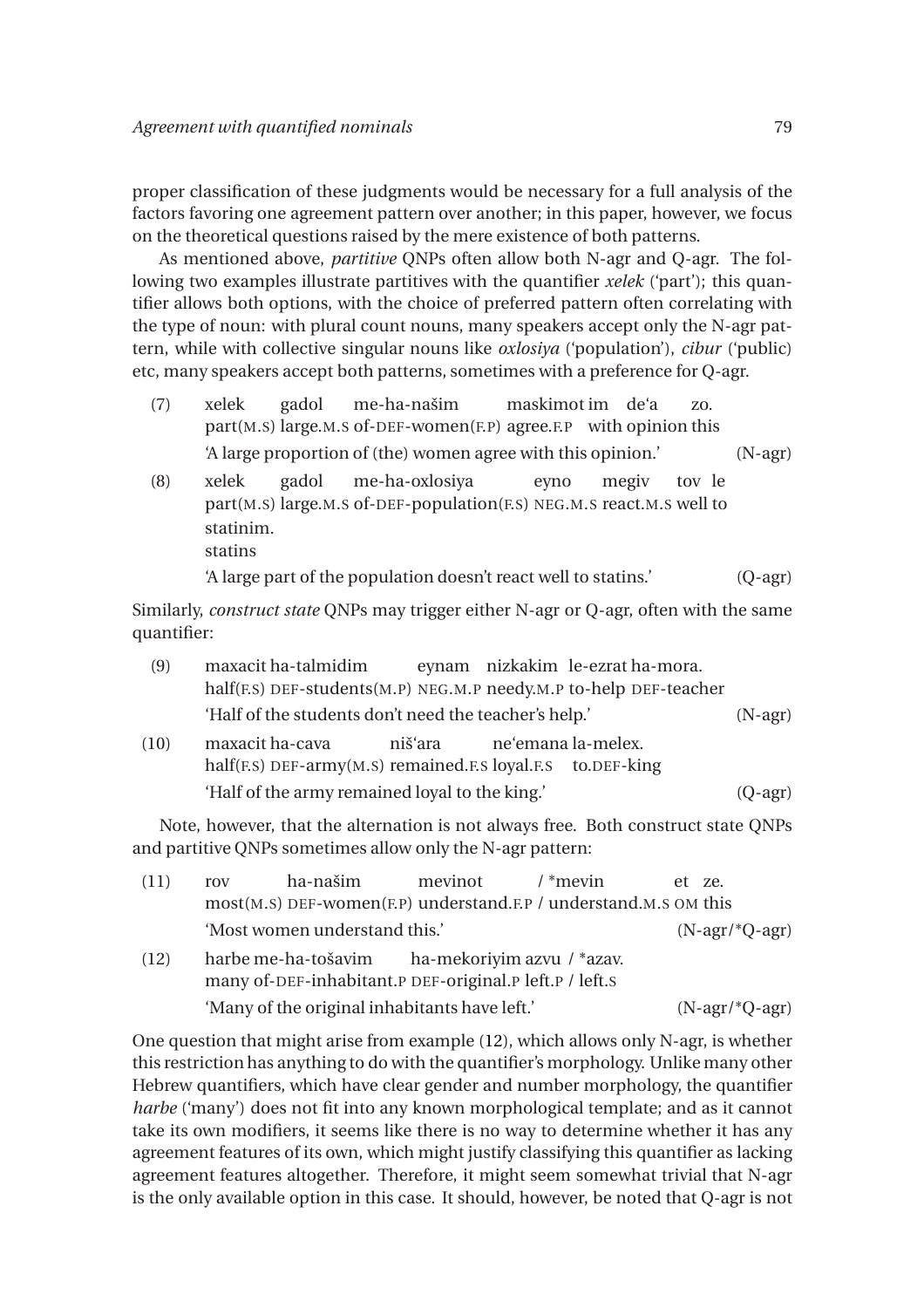proper classification of these judgments would be necessary for a full analysis of the factors favoring one agreement pattern over another; in this paper, however, we focus on the theoretical questions raised by the mere existence of both patterns.

As mentioned above, *partitive* QNPs often allow both N-agr and Q-agr. The following two examples illustrate partitives with the quantifier *xelek* ('part'); this quantifier allows both options, with the choice of preferred pattern often correlating with the type of noun: with plural count nouns, many speakers accept only the N-agr pattern, while with collective singular nouns like *oxlosiya* ('population'), *cibur* ('public) etc, many speakers accept both patterns, sometimes with a preference for Q-agr.

- (7) xelek part(M.S) large.M.S of-DEF-women(F.P) agree.F.P with opinion this gadol me-ha-našim maskimot im de'a zo. 'A large proportion of (the) women agree with this opinion.' (N-agr)
- (8) xelek part(M.S) large.M.S of-DEF-population(F.S) NEG.M.S react.M.S well to gadol me-ha-oxlosiya eyno megiv tov le statinim. statins 'A large part of the population doesn't react well to statins.' (Q-agr)

Similarly, *construct state* QNPs may trigger either N-agr or Q-agr, often with the same quantifier:

| (9)  | maxacit ha-talmidim                                                                                            |  |  | eynam nizkakim le-ezrat ha-mora. |           |
|------|----------------------------------------------------------------------------------------------------------------|--|--|----------------------------------|-----------|
|      | half(F.S) DEF-students(M.P) NEG.M.P needy.M.P to-help DEF-teacher                                              |  |  |                                  |           |
|      | 'Half of the students don't need the teacher's help.'                                                          |  |  |                                  | $(N-agr)$ |
| (10) | maxacit ha-cava<br>ne'emana la-melex.<br>niš'ara<br>half(F.S) DEF-army(M.S) remained.F.S loyal.F.S to.DEF-king |  |  |                                  |           |
|      | 'Half of the army remained loyal to the king.'                                                                 |  |  |                                  | (Q-agr)   |

Note, however, that the alternation is not always free. Both construct state QNPs and partitive QNPs sometimes allow only the N-agr pattern:

<span id="page-4-1"></span><span id="page-4-0"></span>

| (11) | rov                                           | ha-našim                                                                       | mevinot | $\mu$ * mevin              | et ze. |  |  |
|------|-----------------------------------------------|--------------------------------------------------------------------------------|---------|----------------------------|--------|--|--|
|      |                                               | most(M.S) DEF-women(F.P) understand.F.P / understand.M.S OM this               |         |                            |        |  |  |
|      |                                               | 'Most women understand this.'                                                  |         |                            |        |  |  |
| (12) |                                               | harbe me-ha-tošavim<br>many of-DEF-inhabitant.P DEF-original.P left.P / left.S |         | ha-mekoriyim azvu / *azav. |        |  |  |
|      | 'Many of the original inhabitants have left.' | $(N-agr/*Q-agr)$                                                               |         |                            |        |  |  |

One question that might arise from example [\(12\)](#page-4-0), which allows only N-agr, is whether this restriction has anything to do with the quantifier's morphology. Unlike many other Hebrew quantifiers, which have clear gender and number morphology, the quantifier *harbe* ('many') does not fit into any known morphological template; and as it cannot take its own modifiers, it seems like there is no way to determine whether it has any agreement features of its own, which might justify classifying this quantifier as lacking agreement features altogether. Therefore, it might seem somewhat trivial that N-agr is the only available option in this case. It should, however, be noted that Q-agr is not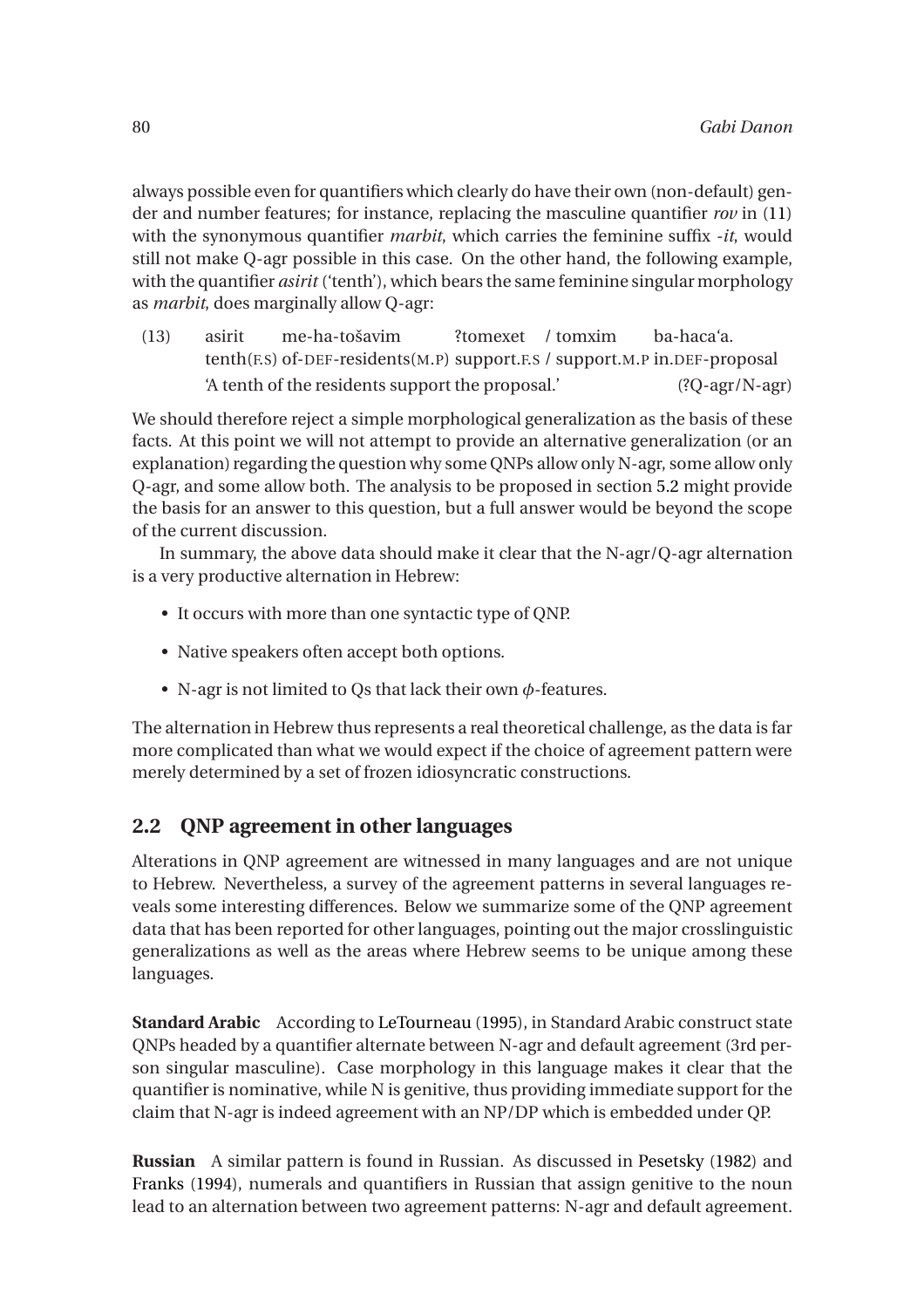always possible even for quantifiers which clearly do have their own (non-default) gender and number features; for instance, replacing the masculine quantifier *rov* in [\(11\)](#page-4-1) with the synonymous quantifier *marbit*, which carries the feminine suffix *-it*, would still not make Q-agr possible in this case. On the other hand, the following example, with the quantifier *asirit* ('tenth'), which bears the same feminine singular morphology as *marbit*, does marginally allow Q-agr:

(13) asirit tenth(F.S) of-DEF-residents(M.P) support.F.S / support.M.P in.DEF-proposal me-ha-tošavim ?tomexet / tomxim ba-haca'a. 'A tenth of the residents support the proposal.' (?Q-agr/N-agr)

We should therefore reject a simple morphological generalization as the basis of these facts. At this point we will not attempt to provide an alternative generalization (or an explanation) regarding the question why some QNPs allow only N-agr, some allow only Q-agr, and some allow both. The analysis to be proposed in section [5.2](#page-12-0) might provide the basis for an answer to this question, but a full answer would be beyond the scope of the current discussion.

In summary, the above data should make it clear that the N-agr/Q-agr alternation is a very productive alternation in Hebrew:

- It occurs with more than one syntactic type of QNP.
- Native speakers often accept both options.
- N-agr is not limited to Qs that lack their own *φ*-features.

The alternation in Hebrew thus represents a real theoretical challenge, as the data is far more complicated than what we would expect if the choice of agreement pattern were merely determined by a set of frozen idiosyncratic constructions.

## **2.2 QNP agreement in other languages**

Alterations in QNP agreement are witnessed in many languages and are not unique to Hebrew. Nevertheless, a survey of the agreement patterns in several languages reveals some interesting differences. Below we summarize some of the QNP agreement data that has been reported for other languages, pointing out the major crosslinguistic generalizations as well as the areas where Hebrew seems to be unique among these languages.

**Standard Arabic** According to [LeTourneau](#page-20-1) [\(1995](#page-20-1)), in Standard Arabic construct state QNPs headed by a quantifier alternate between N-agr and default agreement (3rd person singular masculine). Case morphology in this language makes it clear that the quantifier is nominative, while N is genitive, thus providing immediate support for the claim that N-agr is indeed agreement with an NP/DP which is embedded under QP.

**Russian** A similar pattern is found in Russian. As discussed in [Pesetsky](#page-20-2) [\(1982\)](#page-20-2) and [Franks](#page-20-3) [\(1994\)](#page-20-3), numerals and quantifiers in Russian that assign genitive to the noun lead to an alternation between two agreement patterns: N-agr and default agreement.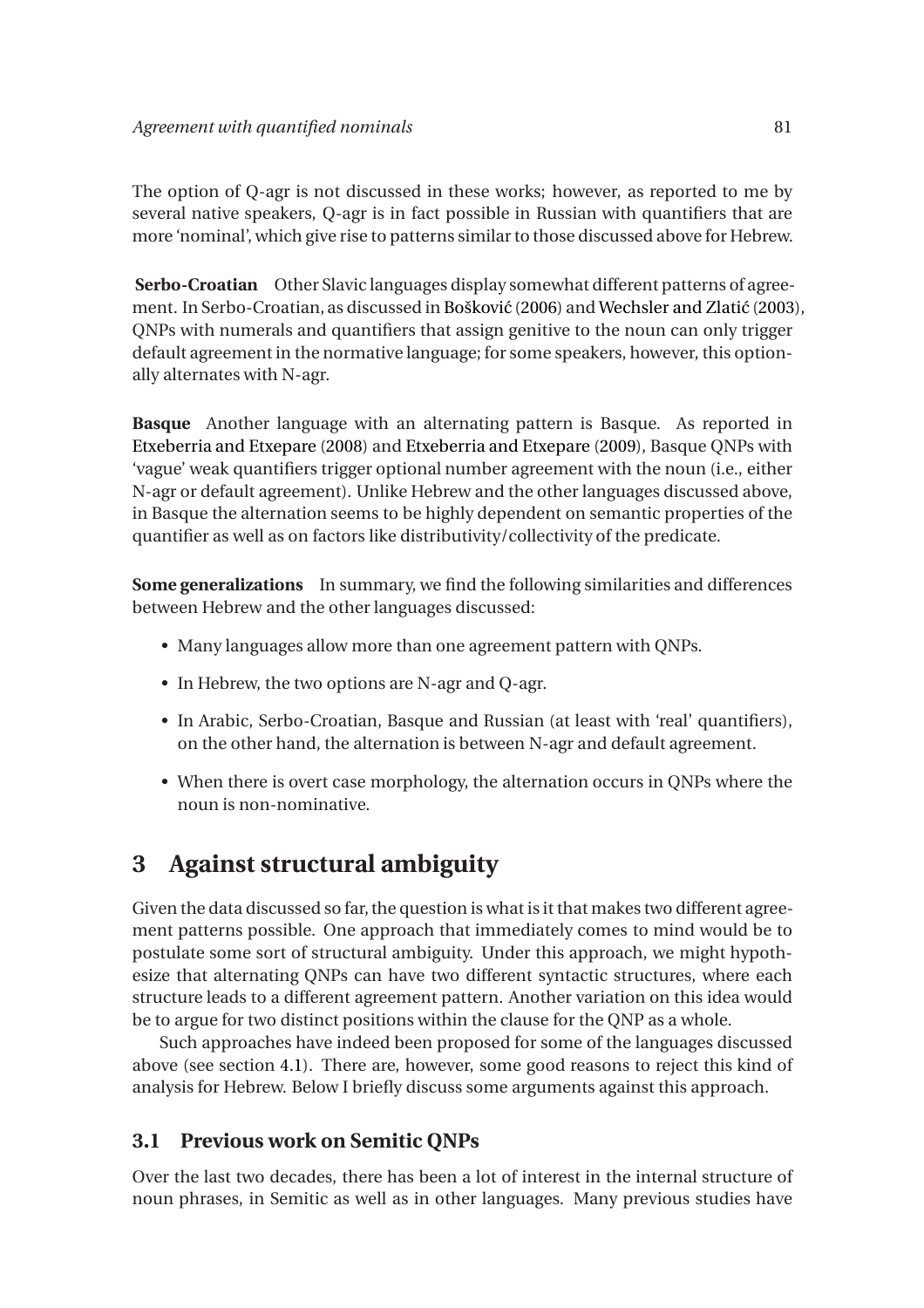The option of Q-agr is not discussed in these works; however, as reported to me by several native speakers, Q-agr is in fact possible in Russian with quantifiers that are more 'nominal', which give rise to patterns similar to those discussed above for Hebrew.

**Serbo-Croatian** Other Slavic languages display somewhat different patterns of agree-ment. In Serbo-Croatian, as discussed in Bošković [\(2006\)](#page-19-3) and Wechsler and Zlatić [\(2003\)](#page-21-0), QNPs with numerals and quantifiers that assign genitive to the noun can only trigger default agreement in the normative language; for some speakers, however, this optionally alternates with N-agr.

**Basque** Another language with an alternating pattern is Basque. As reported in [Etxeberria and Etxepare](#page-20-4) [\(2008](#page-20-4)) and [Etxeberria and Etxepare](#page-20-5) [\(2009\)](#page-20-5), Basque QNPs with 'vague' weak quantifiers trigger optional number agreement with the noun (i.e., either N-agr or default agreement). Unlike Hebrew and the other languages discussed above, in Basque the alternation seems to be highly dependent on semantic properties of the quantifier as well as on factors like distributivity/collectivity of the predicate.

**Some generalizations** In summary, we find the following similarities and differences between Hebrew and the other languages discussed:

- Many languages allow more than one agreement pattern with QNPs.
- In Hebrew, the two options are N-agr and Q-agr.
- In Arabic, Serbo-Croatian, Basque and Russian (at least with 'real' quantifiers), on the other hand, the alternation is between N-agr and default agreement.
- When there is overt case morphology, the alternation occurs in QNPs where the noun is non-nominative.

# **3 Against structural ambiguity**

Given the data discussed so far, the question is what is it that makes two different agreement patterns possible. One approach that immediately comes to mind would be to postulate some sort of structural ambiguity. Under this approach, we might hypothesize that alternating QNPs can have two different syntactic structures, where each structure leads to a different agreement pattern. Another variation on this idea would be to argue for two distinct positions within the clause for the QNP as a whole.

Such approaches have indeed been proposed for some of the languages discussed above (see section [4.1\)](#page-9-0). There are, however, some good reasons to reject this kind of analysis for Hebrew. Below I briefly discuss some arguments against this approach.

#### **3.1 Previous work on Semitic QNPs**

Over the last two decades, there has been a lot of interest in the internal structure of noun phrases, in Semitic as well as in other languages. Many previous studies have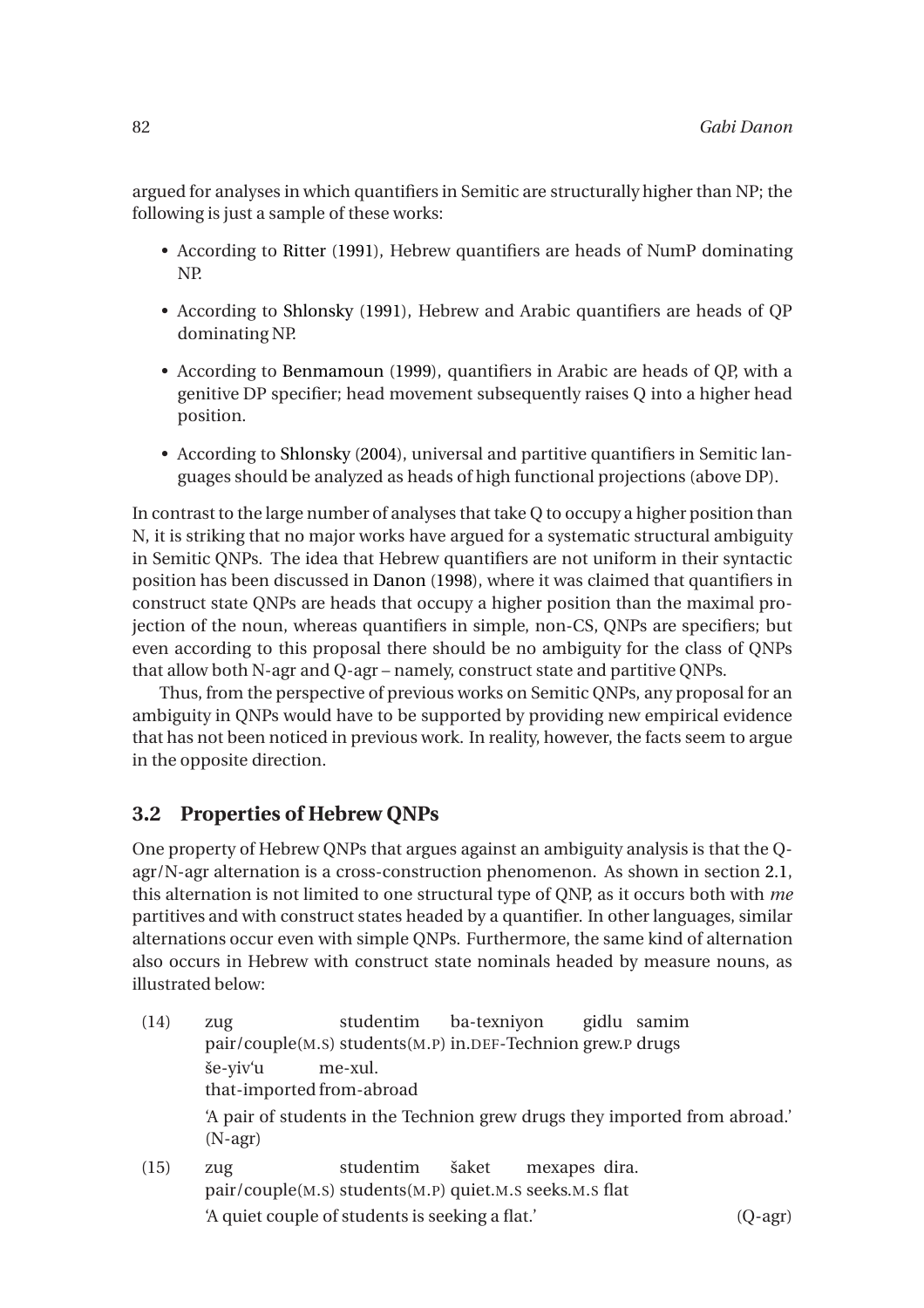argued for analyses in which quantifiers in Semitic are structurally higher than NP; the following is just a sample of these works:

- According to [Ritter](#page-20-6) [\(1991\)](#page-20-6), Hebrew quantifiers are heads of NumP dominating NP.
- According to [Shlonsky](#page-20-7) [\(1991\)](#page-20-7), Hebrew and Arabic quantifiers are heads of QP dominating NP.
- According to [Benmamoun](#page-19-4) [\(1999\)](#page-19-4), quantifiers in Arabic are heads of QP, with a genitive DP specifier; head movement subsequently raises Q into a higher head position.
- According to [Shlonsky](#page-20-8) [\(2004\)](#page-20-8), universal and partitive quantifiers in Semitic languages should be analyzed as heads of high functional projections (above DP).

In contrast to the large number of analyses that take Q to occupy a higher position than N, it is striking that no major works have argued for a systematic structural ambiguity in Semitic QNPs. The idea that Hebrew quantifiers are not uniform in their syntactic position has been discussed in [Danon](#page-19-5) [\(1998](#page-19-5)), where it was claimed that quantifiers in construct state QNPs are heads that occupy a higher position than the maximal projection of the noun, whereas quantifiers in simple, non-CS, QNPs are specifiers; but even according to this proposal there should be no ambiguity for the class of QNPs that allow both N-agr and Q-agr – namely, construct state and partitive QNPs.

Thus, from the perspective of previous works on Semitic QNPs, any proposal for an ambiguity in QNPs would have to be supported by providing new empirical evidence that has not been noticed in previous work. In reality, however, the facts seem to argue in the opposite direction.

## **3.2 Properties of Hebrew QNPs**

One property of Hebrew QNPs that argues against an ambiguity analysis is that the Qagr/N-agr alternation is a cross-construction phenomenon. As shown in section [2.1,](#page-3-1) this alternation is not limited to one structural type of QNP, as it occurs both with *me* partitives and with construct states headed by a quantifier. In other languages, similar alternations occur even with simple QNPs. Furthermore, the same kind of alternation also occurs in Hebrew with construct state nominals headed by measure nouns, as illustrated below:

- <span id="page-7-0"></span>(14) zug pair/couple(M.S) students(M.P) in.DEF-Technion grew.P drugs studentim ba-texniyon gidlu samim še-yiv'u that-imported from-abroad me-xul. 'A pair of students in the Technion grew drugs they imported from abroad.' (N-agr) (15) zug studentim šaket mexapes dira.
- <span id="page-7-1"></span>pair/couple(M.S) students(M.P) quiet.M.S seeks.M.S flat 'A quiet couple of students is seeking a flat.' (Q-agr)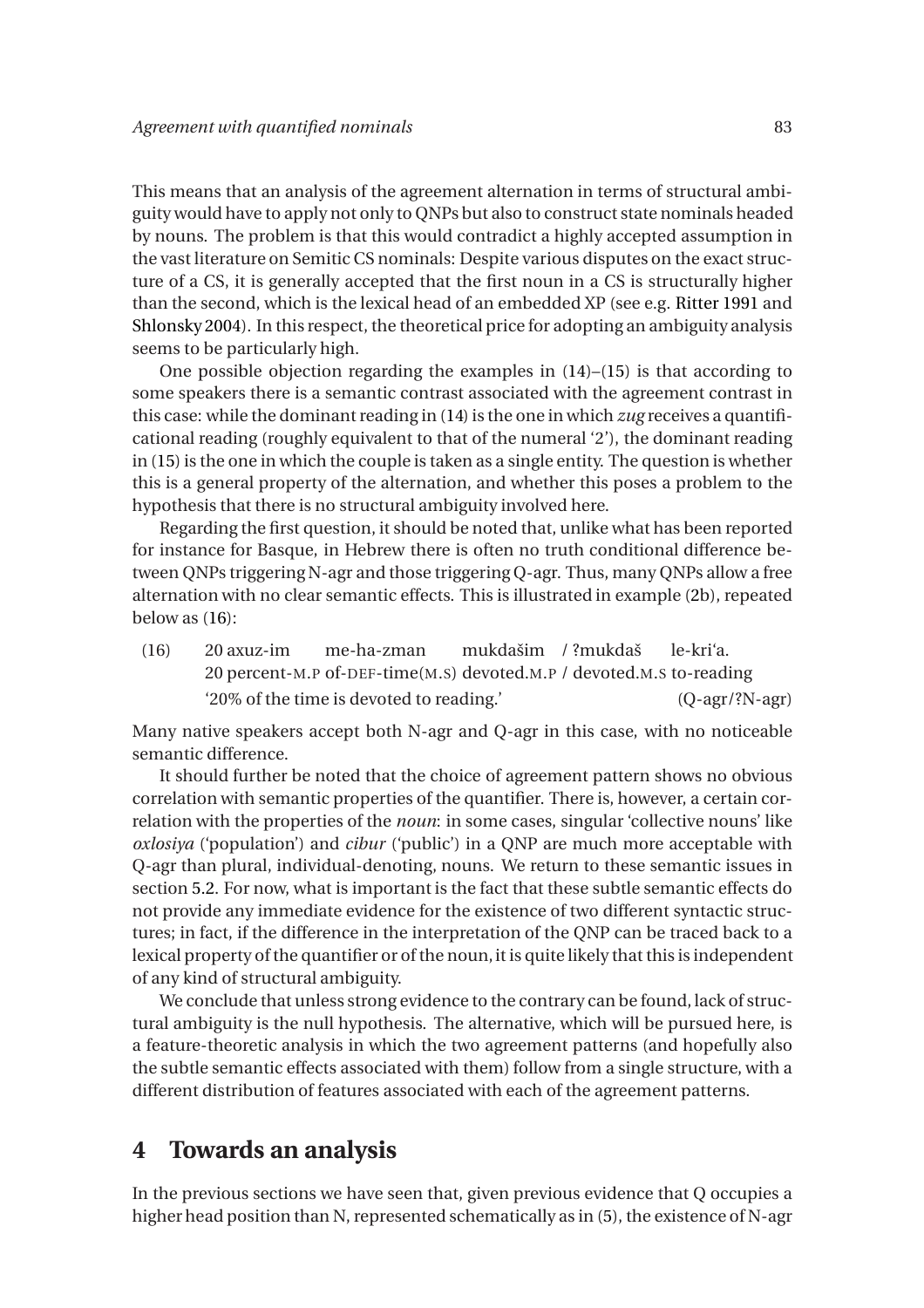This means that an analysis of the agreement alternation in terms of structural ambiguity would have to apply not only to QNPs but also to construct state nominals headed by nouns. The problem is that this would contradict a highly accepted assumption in the vast literature on Semitic CS nominals: Despite various disputes on the exact structure of a CS, it is generally accepted that the first noun in a CS is structurally higher than the second, which is the lexical head of an embedded XP (see e.g. [Ritter 1991](#page-20-6) and [Shlonsky 2004](#page-20-8)). In this respect, the theoretical price for adopting an ambiguity analysis seems to be particularly high.

One possible objection regarding the examples in [\(14\)](#page-7-0)–[\(15\)](#page-7-1) is that according to some speakers there is a semantic contrast associated with the agreement contrast in this case: while the dominant reading in [\(14\)](#page-7-0) is the one in which *zug* receives a quantificational reading (roughly equivalent to that of the numeral '2'), the dominant reading in [\(15\)](#page-7-1) is the one in which the couple is taken as a single entity. The question is whether this is a general property of the alternation, and whether this poses a problem to the hypothesis that there is no structural ambiguity involved here.

Regarding the first question, it should be noted that, unlike what has been reported for instance for Basque, in Hebrew there is often no truth conditional difference between QNPs triggering N-agr and those triggering Q-agr. Thus, many QNPs allow a free alternation with no clear semantic effects. This is illustrated in example [\(2b](#page-0-0)), repeated below as [\(16\)](#page-8-0):

<span id="page-8-0"></span> $(16)$ 20 percent-M.P of-DEF-time(M.S) devoted.M.P / devoted.M.S to-reading 20 axuz-im me-ha-zman mukdašim / ?mukdaš le-kri'a. '20% of the time is devoted to reading.' (Q-agr/?N-agr)

Many native speakers accept both N-agr and Q-agr in this case, with no noticeable semantic difference.

It should further be noted that the choice of agreement pattern shows no obvious correlation with semantic properties of the quantifier. There is, however, a certain correlation with the properties of the *noun*: in some cases, singular 'collective nouns' like *oxlosiya* ('population') and *cibur* ('public') in a QNP are much more acceptable with Q-agr than plural, individual-denoting, nouns. We return to these semantic issues in section [5.2.](#page-12-0) For now, what is important is the fact that these subtle semantic effects do not provide any immediate evidence for the existence of two different syntactic structures; in fact, if the difference in the interpretation of the QNP can be traced back to a lexical property of the quantifier or of the noun, it is quite likely that this is independent of any kind of structural ambiguity.

We conclude that unless strong evidence to the contrary can be found, lack of structural ambiguity is the null hypothesis. The alternative, which will be pursued here, is a feature-theoretic analysis in which the two agreement patterns (and hopefully also the subtle semantic effects associated with them) follow from a single structure, with a different distribution of features associated with each of the agreement patterns.

# **4 Towards an analysis**

In the previous sections we have seen that, given previous evidence that Q occupies a higher head position than N, represented schematically as in [\(5\)](#page-2-0), the existence of N-agr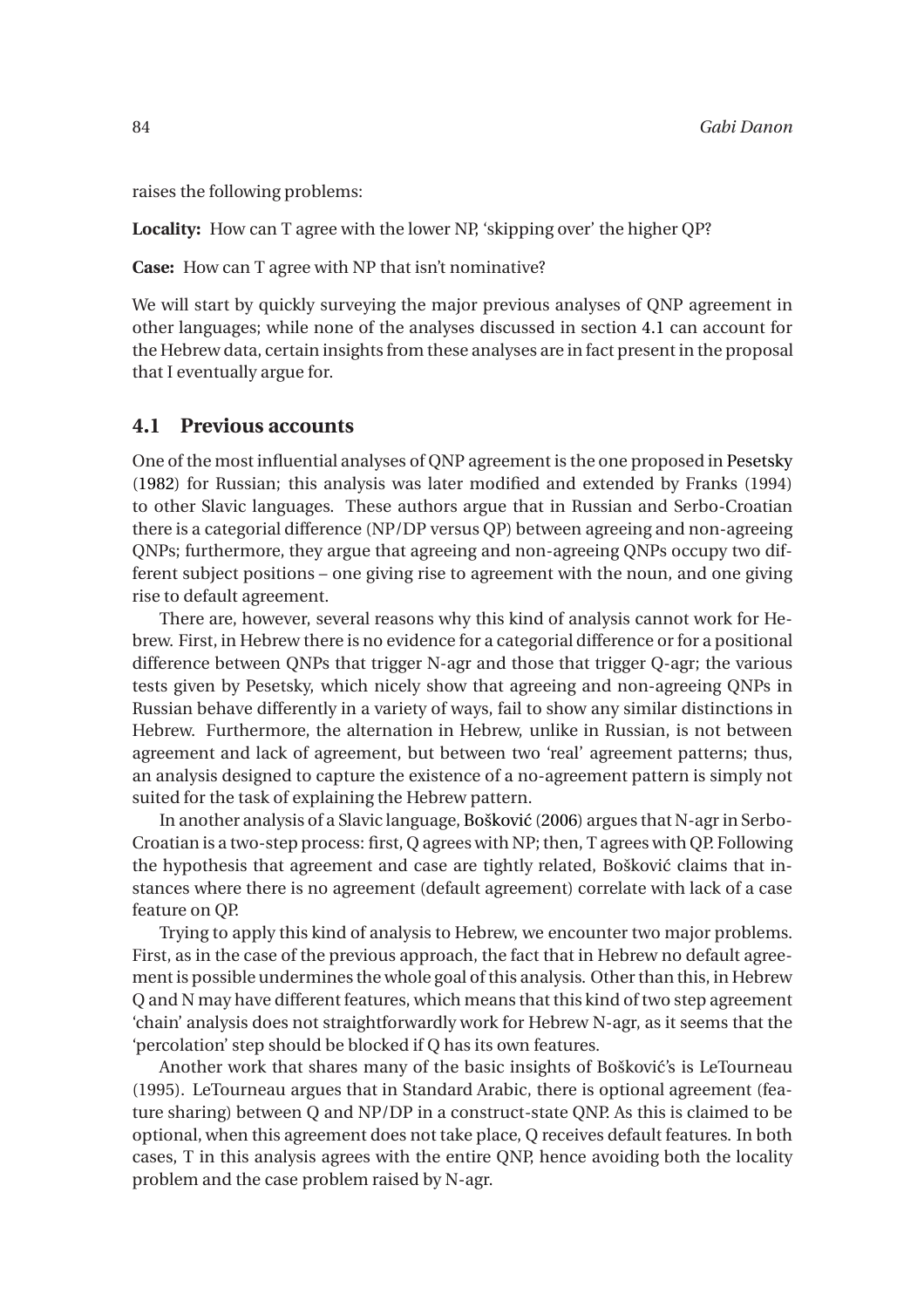raises the following problems:

**Locality:** How can T agree with the lower NP, 'skipping over' the higher QP?

**Case:** How can T agree with NP that isn't nominative?

We will start by quickly surveying the major previous analyses of QNP agreement in other languages; while none of the analyses discussed in section [4.1](#page-9-0) can account for the Hebrew data, certain insights from these analyses are in fact present in the proposal that I eventually argue for.

#### <span id="page-9-0"></span>**4.1 Previous accounts**

One of the most influential analyses of QNP agreement is the one proposed in [Pesetsky](#page-20-2) [\(1982](#page-20-2)) for Russian; this analysis was later modified and extended by Franks (1994) to other Slavic languages. These authors argue that in Russian and Serbo-Croatian there is a categorial difference (NP/DP versus QP) between agreeing and non-agreeing QNPs; furthermore, they argue that agreeing and non-agreeing QNPs occupy two different subject positions – one giving rise to agreement with the noun, and one giving rise to default agreement.

There are, however, several reasons why this kind of analysis cannot work for Hebrew. First, in Hebrew there is no evidence for a categorial difference or for a positional difference between QNPs that trigger N-agr and those that trigger Q-agr; the various tests given by Pesetsky, which nicely show that agreeing and non-agreeing QNPs in Russian behave differently in a variety of ways, fail to show any similar distinctions in Hebrew. Furthermore, the alternation in Hebrew, unlike in Russian, is not between agreement and lack of agreement, but between two 'real' agreement patterns; thus, an analysis designed to capture the existence of a no-agreement pattern is simply not suited for the task of explaining the Hebrew pattern.

In another analysis of a Slavic language, Bošković [\(2006\)](#page-19-3) argues that N-agr in Serbo-Croatian is a two-step process: first, Q agrees with NP; then, T agrees with QP. Following the hypothesis that agreement and case are tightly related, Bošković claims that instances where there is no agreement (default agreement) correlate with lack of a case feature on QP.

Trying to apply this kind of analysis to Hebrew, we encounter two major problems. First, as in the case of the previous approach, the fact that in Hebrew no default agreement is possible undermines the whole goal of this analysis. Other than this, in Hebrew Q and N may have different features, which means that this kind of two step agreement 'chain' analysis does not straightforwardly work for Hebrew N-agr, as it seems that the 'percolation' step should be blocked if Q has its own features.

Another work that shares many of the basic insights of Bošković's is LeTourneau (1995). LeTourneau argues that in Standard Arabic, there is optional agreement (feature sharing) between Q and NP/DP in a construct-state QNP. As this is claimed to be optional, when this agreement does not take place, Q receives default features. In both cases, T in this analysis agrees with the entire QNP, hence avoiding both the locality problem and the case problem raised by N-agr.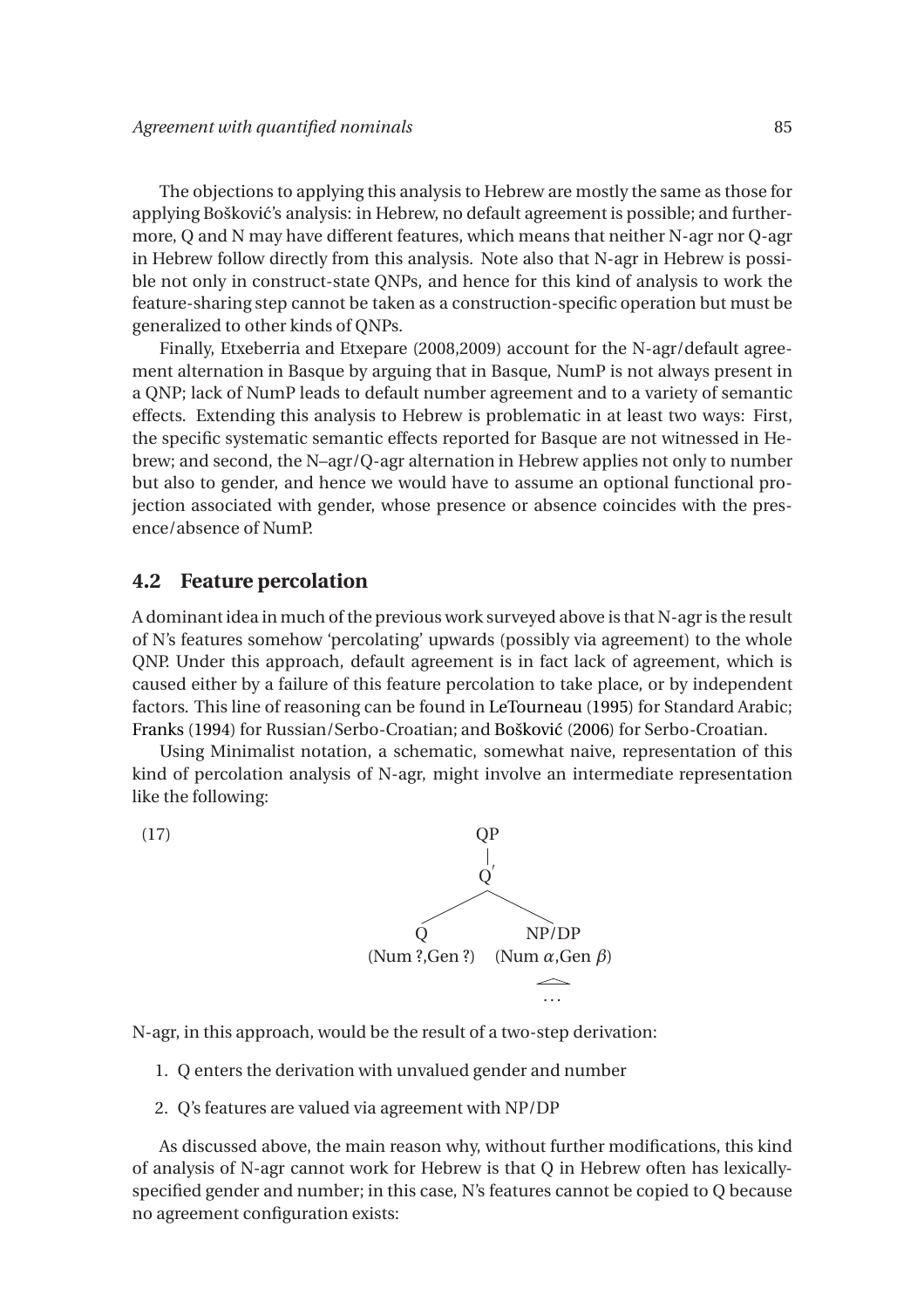The objections to applying this analysis to Hebrew are mostly the same as those for applying Bošković's analysis: in Hebrew, no default agreement is possible; and furthermore, Q and N may have different features, which means that neither N-agr nor Q-agr in Hebrew follow directly from this analysis. Note also that N-agr in Hebrew is possible not only in construct-state QNPs, and hence for this kind of analysis to work the feature-sharing step cannot be taken as a construction-specific operation but must be generalized to other kinds of QNPs.

Finally, Etxeberria and Etxepare (2008,2009) account for the N-agr/default agreement alternation in Basque by arguing that in Basque, NumP is not always present in a QNP; lack of NumP leads to default number agreement and to a variety of semantic effects. Extending this analysis to Hebrew is problematic in at least two ways: First, the specific systematic semantic effects reported for Basque are not witnessed in Hebrew; and second, the N–agr/Q-agr alternation in Hebrew applies not only to number but also to gender, and hence we would have to assume an optional functional projection associated with gender, whose presence or absence coincides with the presence/absence of NumP.

#### <span id="page-10-0"></span>**4.2 Feature percolation**

A dominant idea in much of the previous work surveyed above is that N-agr is the result of N's features somehow 'percolating' upwards (possibly via agreement) to the whole QNP. Under this approach, default agreement is in fact lack of agreement, which is caused either by a failure of this feature percolation to take place, or by independent factors. This line of reasoning can be found in [LeTourneau](#page-20-1) [\(1995\)](#page-20-1) for Standard Arabic; [Franks](#page-20-3) [\(1994](#page-20-3)) for Russian/Serbo-Croatian; and Bošković [\(2006](#page-19-3)) for Serbo-Croatian.

Using Minimalist notation, a schematic, somewhat naive, representation of this kind of percolation analysis of N-agr, might involve an intermediate representation like the following:

(17) QP  $\rm \dot{Q}'$ Q (Num ?,Gen ?) (Num *α*,Gen *β*) NP/DP ...

N-agr, in this approach, would be the result of a two-step derivation:

- 1. Q enters the derivation with unvalued gender and number
- 2. Q's features are valued via agreement with NP/DP

As discussed above, the main reason why, without further modifications, this kind of analysis of N-agr cannot work for Hebrew is that Q in Hebrew often has lexicallyspecified gender and number; in this case, N's features cannot be copied to Q because no agreement configuration exists: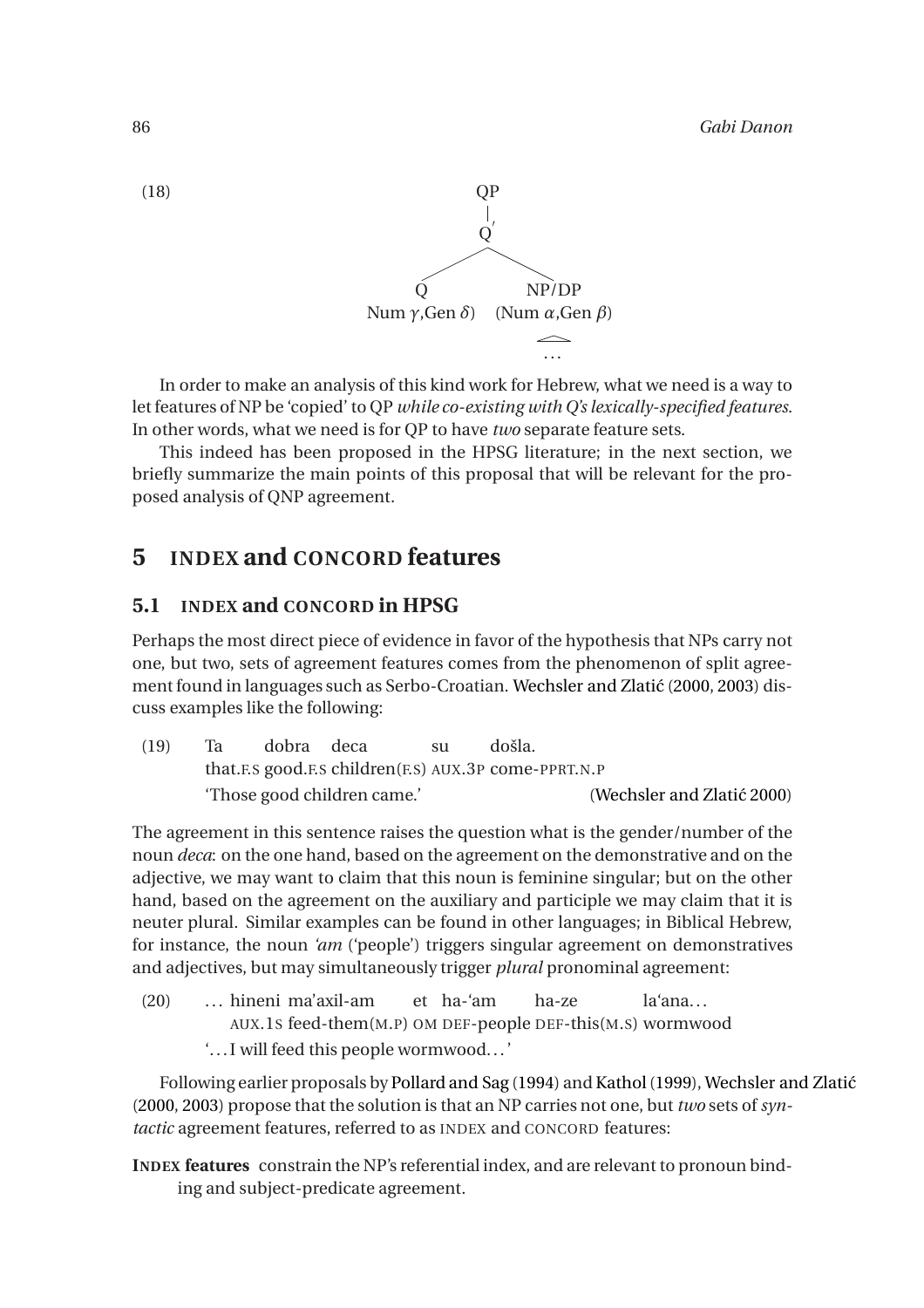

In order to make an analysis of this kind work for Hebrew, what we need is a way to let features of NP be 'copied' to QP *while co-existing with Q's lexically-specified features*. In other words, what we need is for QP to have *two* separate feature sets.

This indeed has been proposed in the HPSG literature; in the next section, we briefly summarize the main points of this proposal that will be relevant for the proposed analysis of QNP agreement.

# **5 INDEX and CONCORD features**

### **5.1 INDEX and CONCORD in HPSG**

Perhaps the most direct piece of evidence in favor of the hypothesis that NPs carry not one, but two, sets of agreement features comes from the phenomenon of split agree-ment found in languages such as Serbo-Croatian. Wechsler and Zlatić [\(2000,](#page-20-9) [2003\)](#page-21-0) discuss examples like the following:

<span id="page-11-0"></span>

| (19) | Та | dobra deca                                               |  |  | došla.                     |  |  |  |
|------|----|----------------------------------------------------------|--|--|----------------------------|--|--|--|
|      |    | that F.S good. F.S children (F.S. AUX. 3P come-PPRT. N.P |  |  |                            |  |  |  |
|      |    | 'Those good children came.'                              |  |  | (Wechsler and Zlatić 2000) |  |  |  |

The agreement in this sentence raises the question what is the gender/number of the noun *deca*: on the one hand, based on the agreement on the demonstrative and on the adjective, we may want to claim that this noun is feminine singular; but on the other hand, based on the agreement on the auxiliary and participle we may claim that it is neuter plural. Similar examples can be found in other languages; in Biblical Hebrew, for instance, the noun *'am* ('people') triggers singular agreement on demonstratives and adjectives, but may simultaneously trigger *plural* pronominal agreement:

(20) ... hineni ma'axil-am AUX.1S feed-them(M.P) OM DEF-people DEF-this(M.S) wormwood et ha-'am ha-ze la'ana... '... I will feed this people wormwood...'

Following earlier proposals by [Pollard and Sag](#page-20-10) [\(1994\)](#page-20-10) and Kathol (1999), Wechsler and Zlatić [\(2000](#page-20-9), [2003\)](#page-21-0) propose that the solution is that an NP carries not one, but *two* sets of *syntactic* agreement features, referred to as INDEX and CONCORD features:

**INDEX features** constrain the NP's referential index, and are relevant to pronoun binding and subject-predicate agreement.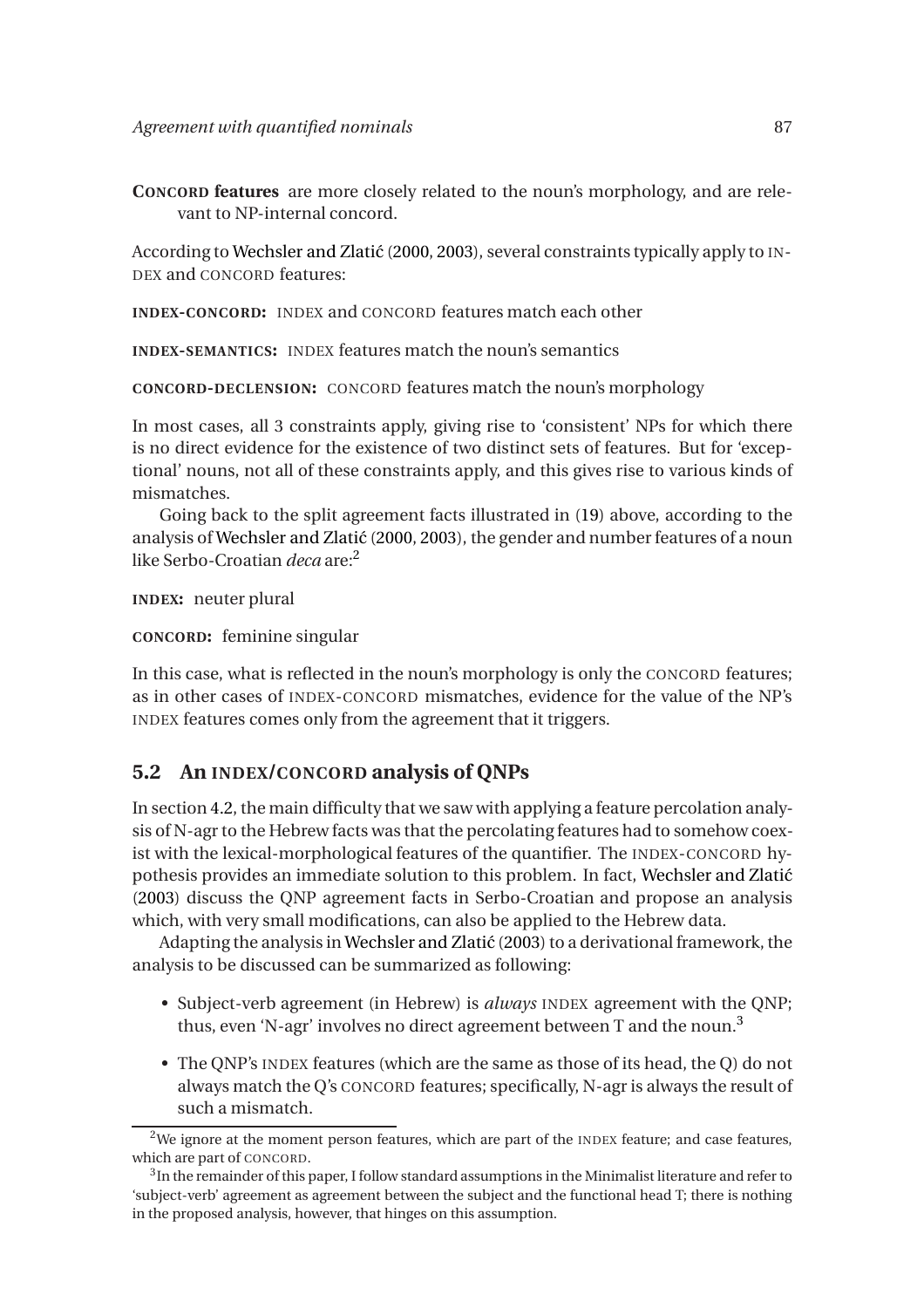**CONCORD features** are more closely related to the noun's morphology, and are relevant to NP-internal concord.

According to Wechsler and Zlatić [\(2000](#page-20-9), [2003\)](#page-21-0), several constraints typically apply to IN-DEX and CONCORD features:

**INDEX-CONCORD:** INDEX and CONCORD features match each other

**INDEX-SEMANTICS:** INDEX features match the noun's semantics

**CONCORD-DECLENSION:** CONCORD features match the noun's morphology

In most cases, all 3 constraints apply, giving rise to 'consistent' NPs for which there is no direct evidence for the existence of two distinct sets of features. But for 'exceptional' nouns, not all of these constraints apply, and this gives rise to various kinds of mismatches.

Going back to the split agreement facts illustrated in [\(19\)](#page-11-0) above, according to the analysis of Wechsler and Zlatić [\(2000,](#page-20-9) [2003](#page-21-0)), the gender and number features of a noun like Serbo-Croatian *deca* are:<sup>2</sup>

**INDEX:** neuter plural

**CONCORD:** feminine singular

In this case, what is reflected in the noun's morphology is only the CONCORD features; as in other cases of INDEX-CONCORD mismatches, evidence for the value of the NP's INDEX features comes only from the agreement that it triggers.

#### <span id="page-12-0"></span>**5.2 An INDEX/CONCORD analysis of QNPs**

In section [4.2,](#page-10-0) the main difficulty that we saw with applying a feature percolation analysis of N-agr to the Hebrew facts was that the percolating features had to somehow coexist with the lexical-morphological features of the quantifier. The INDEX-CONCORD hypothesis provides an immediate solution to this problem. In fact, Wechsler and Zlatić [\(2003](#page-21-0)) discuss the QNP agreement facts in Serbo-Croatian and propose an analysis which, with very small modifications, can also be applied to the Hebrew data.

Adapting the analysis in Wechsler and Zlatić [\(2003\)](#page-21-0) to a derivational framework, the analysis to be discussed can be summarized as following:

- Subject-verb agreement (in Hebrew) is *always* INDEX agreement with the QNP; thus, even 'N-agr' involves no direct agreement between T and the noun.<sup>3</sup>
- The QNP's INDEX features (which are the same as those of its head, the Q) do not always match the Q's CONCORD features; specifically, N-agr is always the result of such a mismatch.

<sup>&</sup>lt;sup>2</sup>We ignore at the moment person features, which are part of the INDEX feature; and case features, which are part of CONCORD.

 $^3{\rm In}$  the remainder of this paper, I follow standard assumptions in the Minimalist literature and refer to 'subject-verb' agreement as agreement between the subject and the functional head T; there is nothing in the proposed analysis, however, that hinges on this assumption.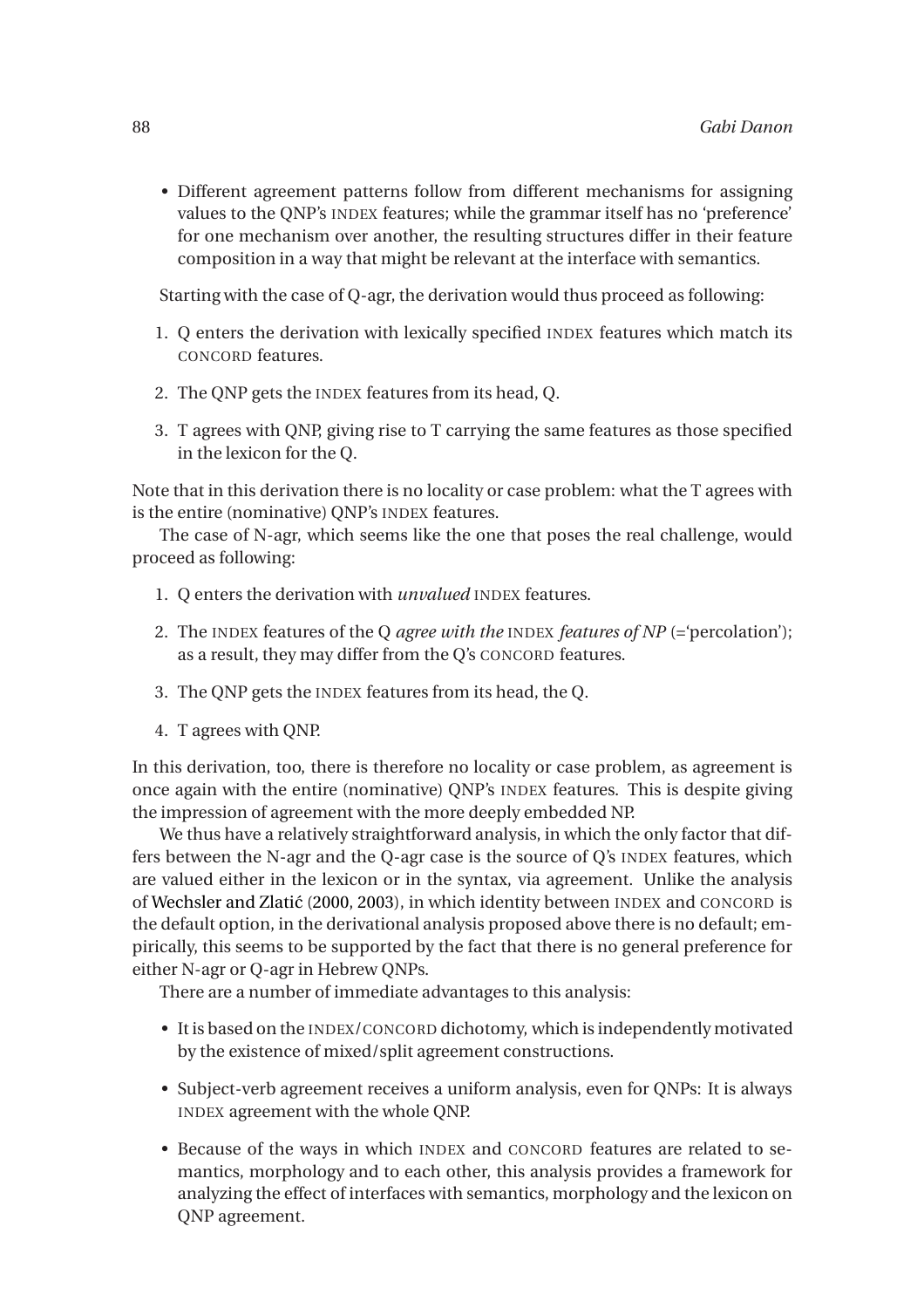• Different agreement patterns follow from different mechanisms for assigning values to the QNP's INDEX features; while the grammar itself has no 'preference' for one mechanism over another, the resulting structures differ in their feature composition in a way that might be relevant at the interface with semantics.

Starting with the case of Q-agr, the derivation would thus proceed as following:

- 1. Q enters the derivation with lexically specified INDEX features which match its CONCORD features.
- 2. The QNP gets the INDEX features from its head, Q.
- 3. T agrees with QNP, giving rise to T carrying the same features as those specified in the lexicon for the Q.

Note that in this derivation there is no locality or case problem: what the T agrees with is the entire (nominative) QNP's INDEX features.

The case of N-agr, which seems like the one that poses the real challenge, would proceed as following:

- 1. Q enters the derivation with *unvalued* INDEX features.
- 2. The INDEX features of the Q *agree with the* INDEX *features of NP* (='percolation'); as a result, they may differ from the Q's CONCORD features.
- 3. The QNP gets the INDEX features from its head, the Q.
- 4. T agrees with QNP.

In this derivation, too, there is therefore no locality or case problem, as agreement is once again with the entire (nominative) QNP's INDEX features. This is despite giving the impression of agreement with the more deeply embedded NP.

We thus have a relatively straightforward analysis, in which the only factor that differs between the N-agr and the Q-agr case is the source of Q's INDEX features, which are valued either in the lexicon or in the syntax, via agreement. Unlike the analysis of Wechsler and Zlatić [\(2000,](#page-20-9) [2003\)](#page-21-0), in which identity between INDEX and CONCORD is the default option, in the derivational analysis proposed above there is no default; empirically, this seems to be supported by the fact that there is no general preference for either N-agr or Q-agr in Hebrew QNPs.

There are a number of immediate advantages to this analysis:

- It is based on the INDEX/CONCORD dichotomy, which is independently motivated by the existence of mixed/split agreement constructions.
- Subject-verb agreement receives a uniform analysis, even for QNPs: It is always INDEX agreement with the whole QNP.
- Because of the ways in which INDEX and CONCORD features are related to semantics, morphology and to each other, this analysis provides a framework for analyzing the effect of interfaces with semantics, morphology and the lexicon on QNP agreement.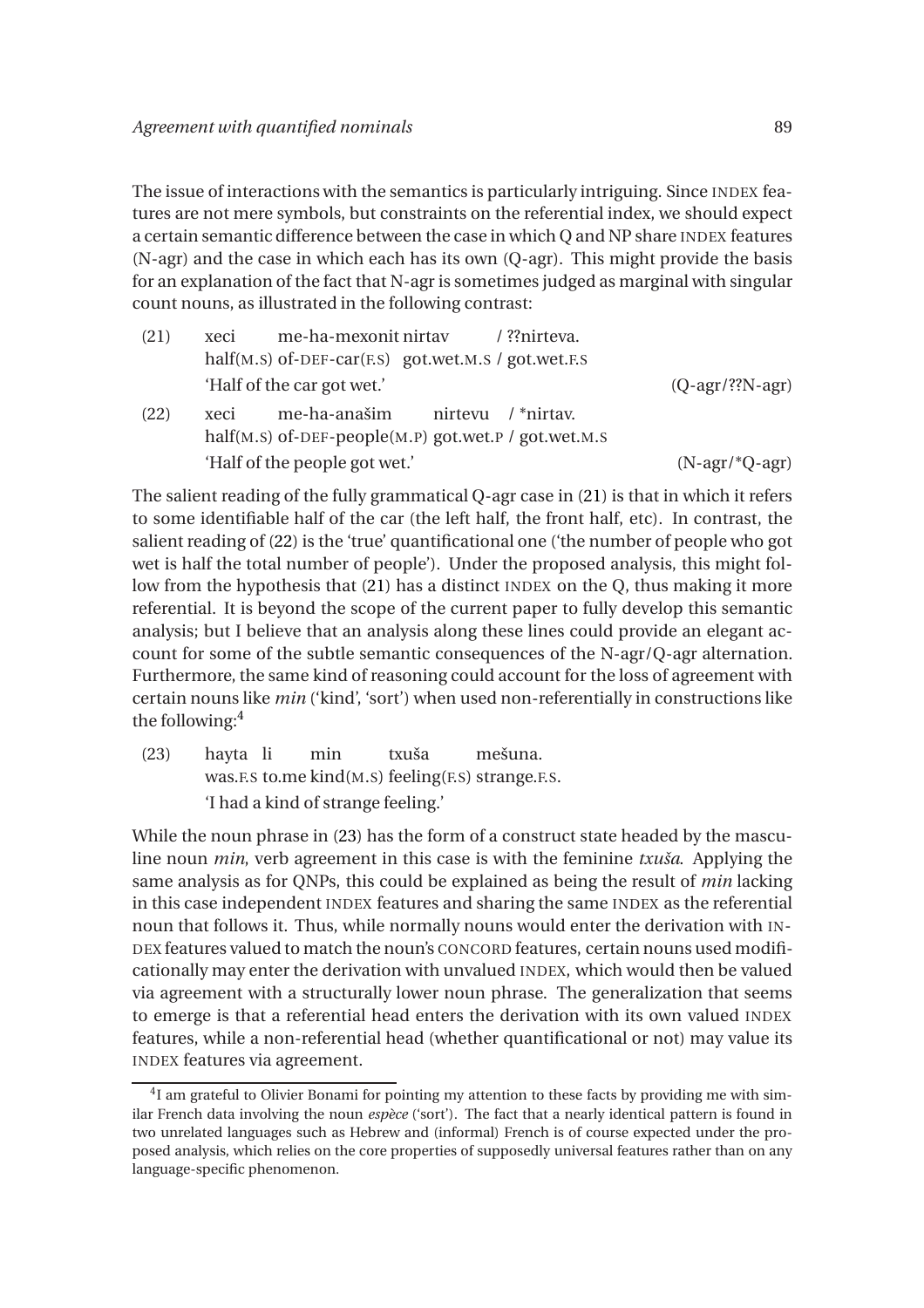The issue of interactions with the semantics is particularly intriguing. Since INDEX features are not mere symbols, but constraints on the referential index, we should expect a certain semantic difference between the case in which Q and NP share INDEX features (N-agr) and the case in which each has its own (Q-agr). This might provide the basis for an explanation of the fact that N-agr is sometimes judged as marginal with singular count nouns, as illustrated in the following contrast:

<span id="page-14-1"></span><span id="page-14-0"></span>

| (21) | me-ha-mexonit nirtav /??nirteva.<br>xeci<br>half(M.S) of-DEF-car(F.S) got.wet.M.S / got.wet.F.S |                                  |
|------|-------------------------------------------------------------------------------------------------|----------------------------------|
|      | 'Half of the car got wet.'                                                                      | $(Q$ -agr $\frac{/??N}$ -agr $)$ |
| (22) | me-ha-anašim nirtevu / *nirtav.<br>xeci<br>half(M.S) of-DEF-people(M.P) got.wet.P / got.wet.M.S |                                  |
|      | 'Half of the people got wet.'                                                                   | $(N-agr/*Q-agr)$                 |

The salient reading of the fully grammatical Q-agr case in [\(21\)](#page-14-0) is that in which it refers to some identifiable half of the car (the left half, the front half, etc). In contrast, the salient reading of [\(22\)](#page-14-1) is the 'true' quantificational one ('the number of people who got wet is half the total number of people'). Under the proposed analysis, this might follow from the hypothesis that [\(21\)](#page-14-0) has a distinct INDEX on the Q, thus making it more referential. It is beyond the scope of the current paper to fully develop this semantic analysis; but I believe that an analysis along these lines could provide an elegant account for some of the subtle semantic consequences of the N-agr/Q-agr alternation. Furthermore, the same kind of reasoning could account for the loss of agreement with certain nouns like *min* ('kind', 'sort') when used non-referentially in constructions like the following:<sup>4</sup>

<span id="page-14-2"></span>(23) hayta li was.F.S to.me kind(M.S) feeling(F.S) strange.F.S. min txuša mešuna. 'I had a kind of strange feeling.'

While the noun phrase in [\(23\)](#page-14-2) has the form of a construct state headed by the masculine noun *min*, verb agreement in this case is with the feminine *txuša*. Applying the same analysis as for QNPs, this could be explained as being the result of *min* lacking in this case independent INDEX features and sharing the same INDEX as the referential noun that follows it. Thus, while normally nouns would enter the derivation with IN-DEX features valued to match the noun's CONCORD features, certain nouns used modificationally may enter the derivation with unvalued INDEX, which would then be valued via agreement with a structurally lower noun phrase. The generalization that seems to emerge is that a referential head enters the derivation with its own valued INDEX features, while a non-referential head (whether quantificational or not) may value its INDEX features via agreement.

<sup>&</sup>lt;sup>4</sup>I am grateful to Olivier Bonami for pointing my attention to these facts by providing me with similar French data involving the noun *espèce* ('sort'). The fact that a nearly identical pattern is found in two unrelated languages such as Hebrew and (informal) French is of course expected under the proposed analysis, which relies on the core properties of supposedly universal features rather than on any language-specific phenomenon.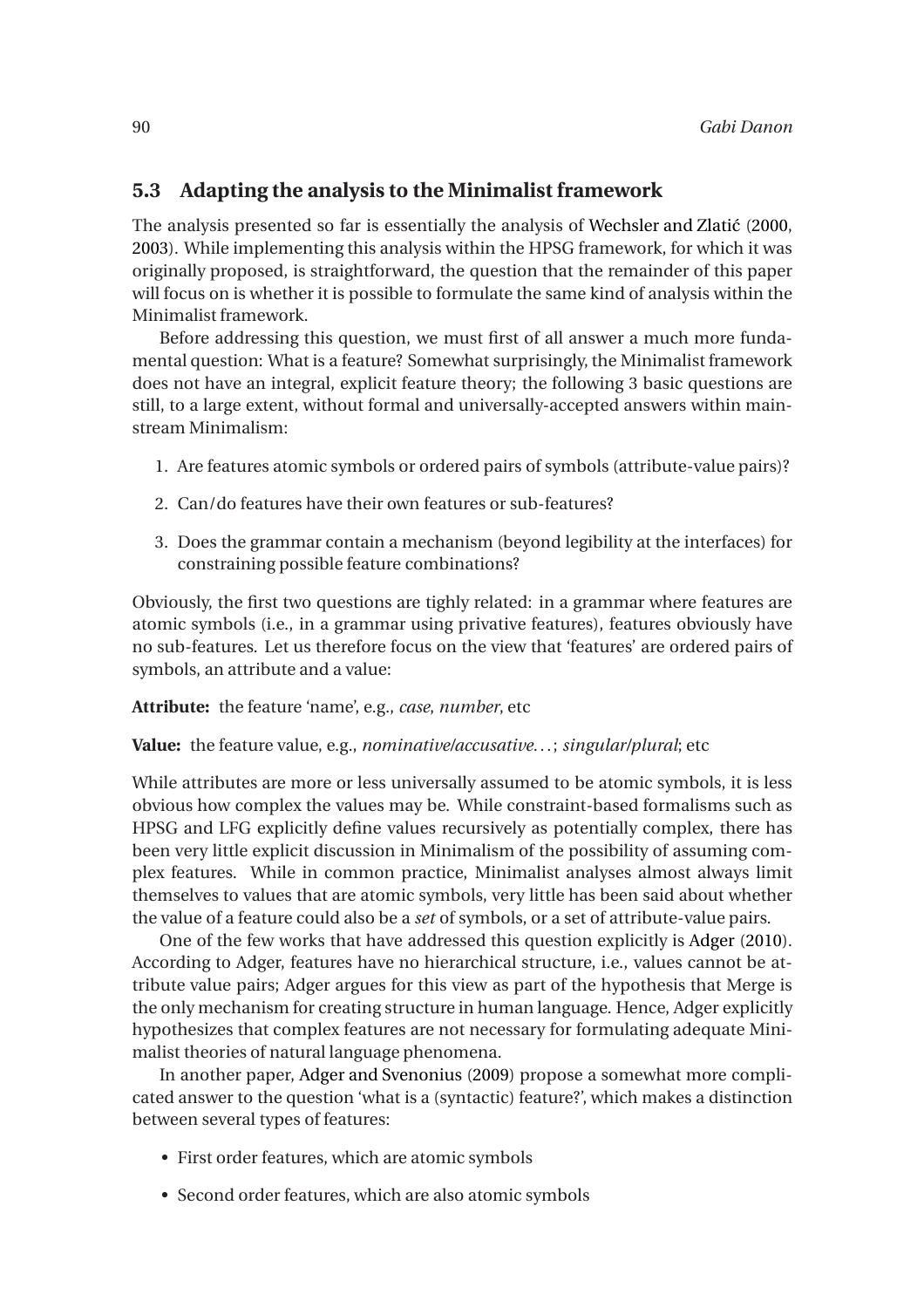## **5.3 Adapting the analysis to the Minimalist framework**

The analysis presented so far is essentially the analysis of Wechsler and Zlatić [\(2000](#page-20-9), [2003\)](#page-21-0). While implementing this analysis within the HPSG framework, for which it was originally proposed, is straightforward, the question that the remainder of this paper will focus on is whether it is possible to formulate the same kind of analysis within the Minimalist framework.

Before addressing this question, we must first of all answer a much more fundamental question: What is a feature? Somewhat surprisingly, the Minimalist framework does not have an integral, explicit feature theory; the following 3 basic questions are still, to a large extent, without formal and universally-accepted answers within mainstream Minimalism:

- 1. Are features atomic symbols or ordered pairs of symbols (attribute-value pairs)?
- 2. Can/do features have their own features or sub-features?
- 3. Does the grammar contain a mechanism (beyond legibility at the interfaces) for constraining possible feature combinations?

Obviously, the first two questions are tighly related: in a grammar where features are atomic symbols (i.e., in a grammar using privative features), features obviously have no sub-features. Let us therefore focus on the view that 'features' are ordered pairs of symbols, an attribute and a value:

#### **Attribute:** the feature 'name', e.g., *case*, *number*, etc

#### **Value:** the feature value, e.g., *nominative/accusative...*; *singular/plural*; etc

While attributes are more or less universally assumed to be atomic symbols, it is less obvious how complex the values may be. While constraint-based formalisms such as HPSG and LFG explicitly define values recursively as potentially complex, there has been very little explicit discussion in Minimalism of the possibility of assuming complex features. While in common practice, Minimalist analyses almost always limit themselves to values that are atomic symbols, very little has been said about whether the value of a feature could also be a *set* of symbols, or a set of attribute-value pairs.

One of the few works that have addressed this question explicitly is [Adger](#page-19-6) [\(2010\)](#page-19-6). According to Adger, features have no hierarchical structure, i.e., values cannot be attribute value pairs; Adger argues for this view as part of the hypothesis that Merge is the only mechanism for creating structure in human language. Hence, Adger explicitly hypothesizes that complex features are not necessary for formulating adequate Minimalist theories of natural language phenomena.

In another paper, [Adger and Svenonius](#page-19-7) [\(2009\)](#page-19-7) propose a somewhat more complicated answer to the question 'what is a (syntactic) feature?', which makes a distinction between several types of features:

- First order features, which are atomic symbols
- Second order features, which are also atomic symbols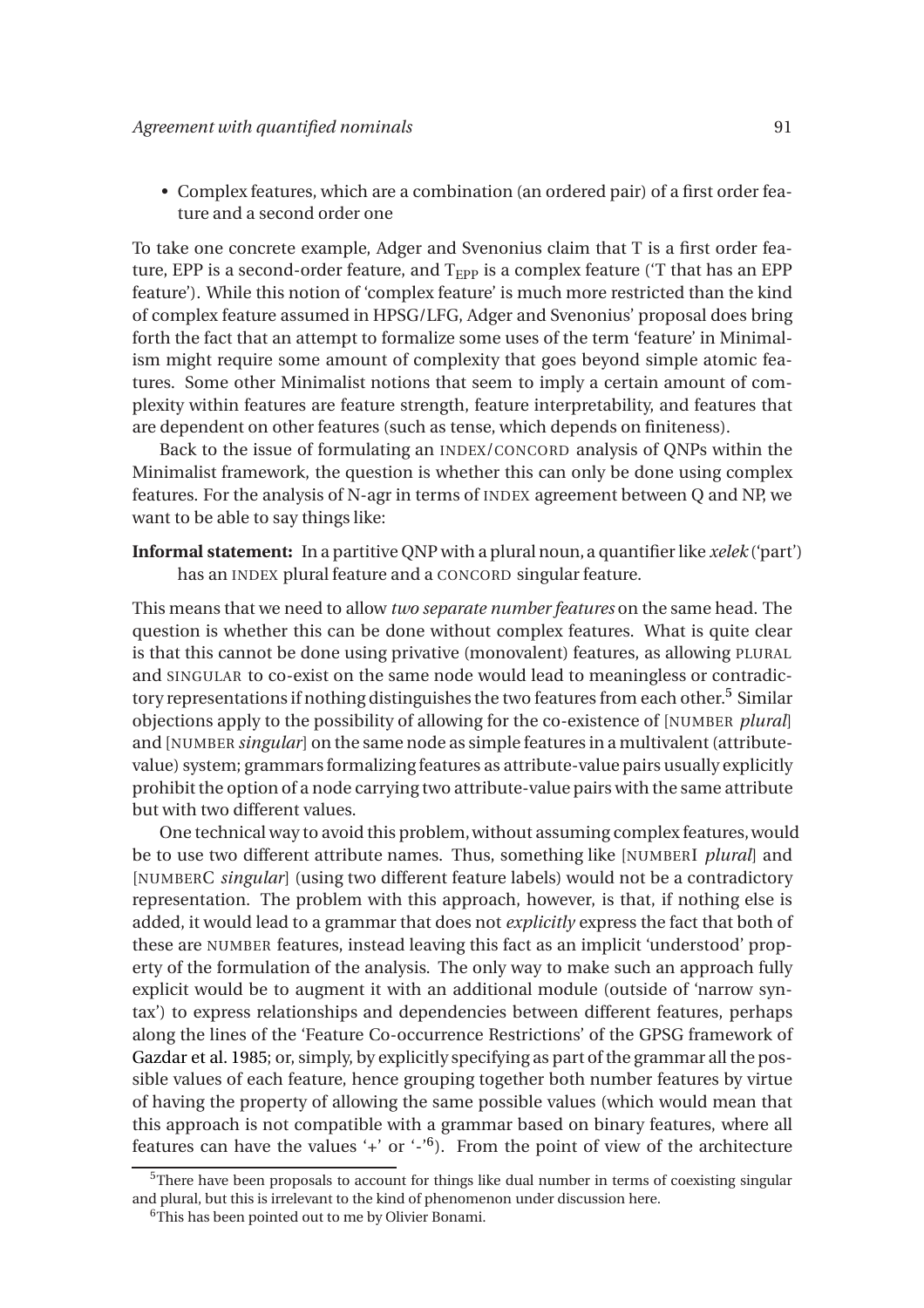• Complex features, which are a combination (an ordered pair) of a first order feature and a second order one

To take one concrete example, Adger and Svenonius claim that T is a first order feature, EPP is a second-order feature, and  $T_{EPP}$  is a complex feature ( $T$  that has an EPP feature'). While this notion of 'complex feature' is much more restricted than the kind of complex feature assumed in HPSG/LFG, Adger and Svenonius' proposal does bring forth the fact that an attempt to formalize some uses of the term 'feature' in Minimalism might require some amount of complexity that goes beyond simple atomic features. Some other Minimalist notions that seem to imply a certain amount of complexity within features are feature strength, feature interpretability, and features that are dependent on other features (such as tense, which depends on finiteness).

Back to the issue of formulating an INDEX/CONCORD analysis of QNPs within the Minimalist framework, the question is whether this can only be done using complex features. For the analysis of N-agr in terms of INDEX agreement between Q and NP, we want to be able to say things like:

**Informal statement:** In a partitive QNP with a plural noun, a quantifier like *xelek* ('part') has an INDEX plural feature and a CONCORD singular feature.

This means that we need to allow *two separate number features* on the same head. The question is whether this can be done without complex features. What is quite clear is that this cannot be done using privative (monovalent) features, as allowing PLURAL and SINGULAR to co-exist on the same node would lead to meaningless or contradictory representations if nothing distinguishes the two features from each other.<sup>5</sup> Similar objections apply to the possibility of allowing for the co-existence of [NUMBER *plural*] and [NUMBER *singular*] on the same node as simple features in a multivalent (attributevalue) system; grammars formalizing features as attribute-value pairs usually explicitly prohibit the option of a node carrying two attribute-value pairs with the same attribute but with two different values.

One technical way to avoid this problem, without assuming complex features, would be to use two different attribute names. Thus, something like [NUMBERI *plural*] and [NUMBERC *singular*] (using two different feature labels) would not be a contradictory representation. The problem with this approach, however, is that, if nothing else is added, it would lead to a grammar that does not *explicitly* express the fact that both of these are NUMBER features, instead leaving this fact as an implicit 'understood' property of the formulation of the analysis. The only way to make such an approach fully explicit would be to augment it with an additional module (outside of 'narrow syntax') to express relationships and dependencies between different features, perhaps along the lines of the 'Feature Co-occurrence Restrictions' of the GPSG framework of [Gazdar et al. 1985;](#page-20-12) or, simply, by explicitly specifying as part of the grammar all the possible values of each feature, hence grouping together both number features by virtue of having the property of allowing the same possible values (which would mean that this approach is not compatible with a grammar based on binary features, where all features can have the values '+' or '-'<sup>6</sup>). From the point of view of the architecture

<sup>&</sup>lt;sup>5</sup>There have been proposals to account for things like dual number in terms of coexisting singular and plural, but this is irrelevant to the kind of phenomenon under discussion here.

<sup>&</sup>lt;sup>6</sup>This has been pointed out to me by Olivier Bonami.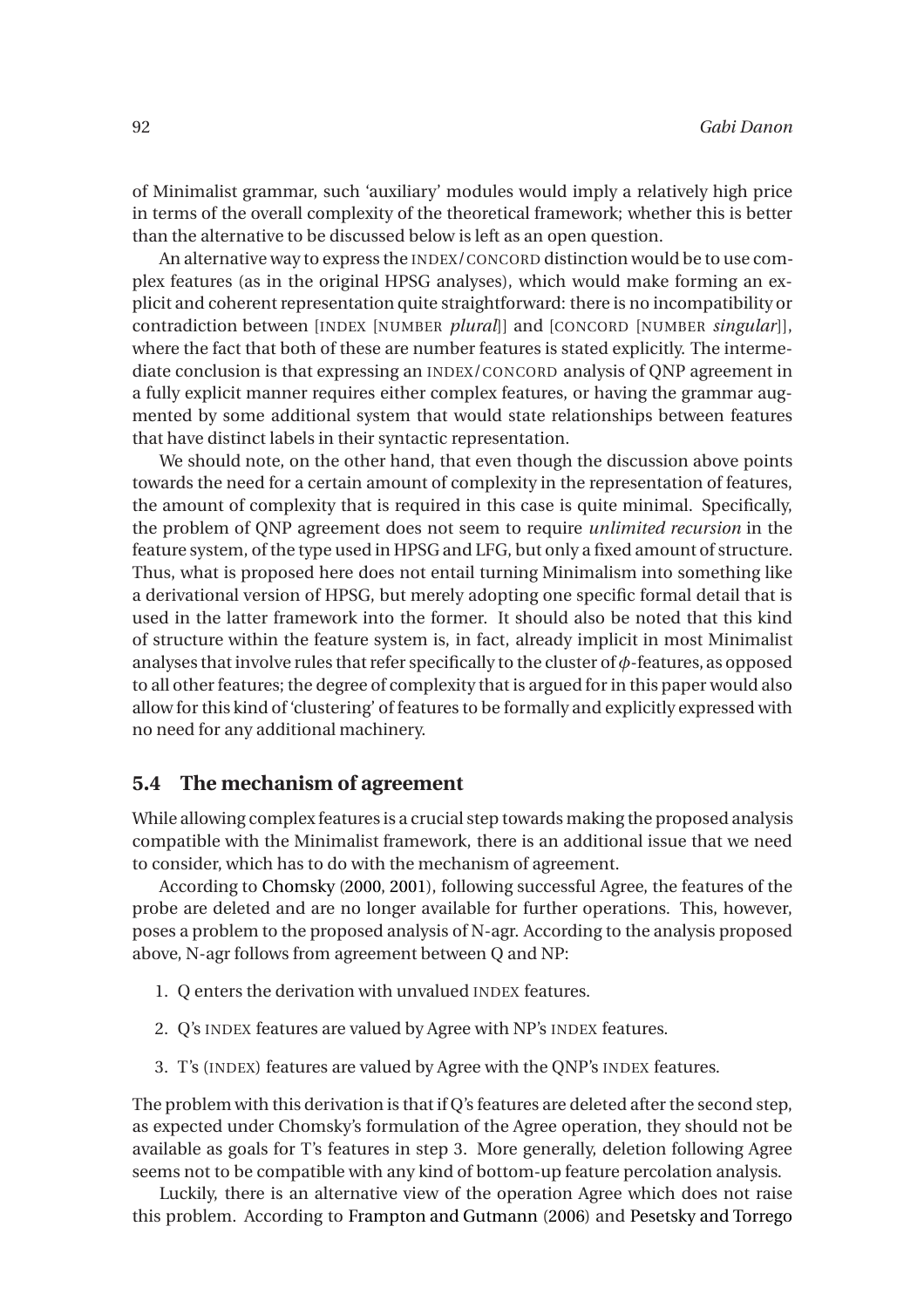of Minimalist grammar, such 'auxiliary' modules would imply a relatively high price in terms of the overall complexity of the theoretical framework; whether this is better than the alternative to be discussed below is left as an open question.

An alternative way to express the INDEX/CONCORD distinction would be to use complex features (as in the original HPSG analyses), which would make forming an explicit and coherent representation quite straightforward: there is no incompatibility or contradiction between [INDEX [NUMBER *plural*]] and [CONCORD [NUMBER *singular*]], where the fact that both of these are number features is stated explicitly. The intermediate conclusion is that expressing an INDEX/CONCORD analysis of QNP agreement in a fully explicit manner requires either complex features, or having the grammar augmented by some additional system that would state relationships between features that have distinct labels in their syntactic representation.

We should note, on the other hand, that even though the discussion above points towards the need for a certain amount of complexity in the representation of features, the amount of complexity that is required in this case is quite minimal. Specifically, the problem of QNP agreement does not seem to require *unlimited recursion* in the feature system, of the type used in HPSG and LFG, but only a fixed amount of structure. Thus, what is proposed here does not entail turning Minimalism into something like a derivational version of HPSG, but merely adopting one specific formal detail that is used in the latter framework into the former. It should also be noted that this kind of structure within the feature system is, in fact, already implicit in most Minimalist analyses that involve rules that refer specifically to the cluster of*φ*-features, as opposed to all other features; the degree of complexity that is argued for in this paper would also allow for this kind of 'clustering' of features to be formally and explicitly expressed with no need for any additional machinery.

#### **5.4 The mechanism of agreement**

While allowing complex features is a crucial step towards making the proposed analysis compatible with the Minimalist framework, there is an additional issue that we need to consider, which has to do with the mechanism of agreement.

According to [Chomsky](#page-19-0) [\(2000,](#page-19-0) [2001\)](#page-19-1), following successful Agree, the features of the probe are deleted and are no longer available for further operations. This, however, poses a problem to the proposed analysis of N-agr. According to the analysis proposed above, N-agr follows from agreement between Q and NP:

- 1. Q enters the derivation with unvalued INDEX features.
- 2. Q's INDEX features are valued by Agree with NP's INDEX features.
- 3. T's (INDEX) features are valued by Agree with the QNP's INDEX features.

The problem with this derivation is that if Q's features are deleted after the second step, as expected under Chomsky's formulation of the Agree operation, they should not be available as goals for T's features in step 3. More generally, deletion following Agree seems not to be compatible with any kind of bottom-up feature percolation analysis.

Luckily, there is an alternative view of the operation Agree which does not raise this problem. According to [Frampton and Gutmann](#page-20-13) [\(2006\)](#page-20-13) and [Pesetsky and Torrego](#page-20-14)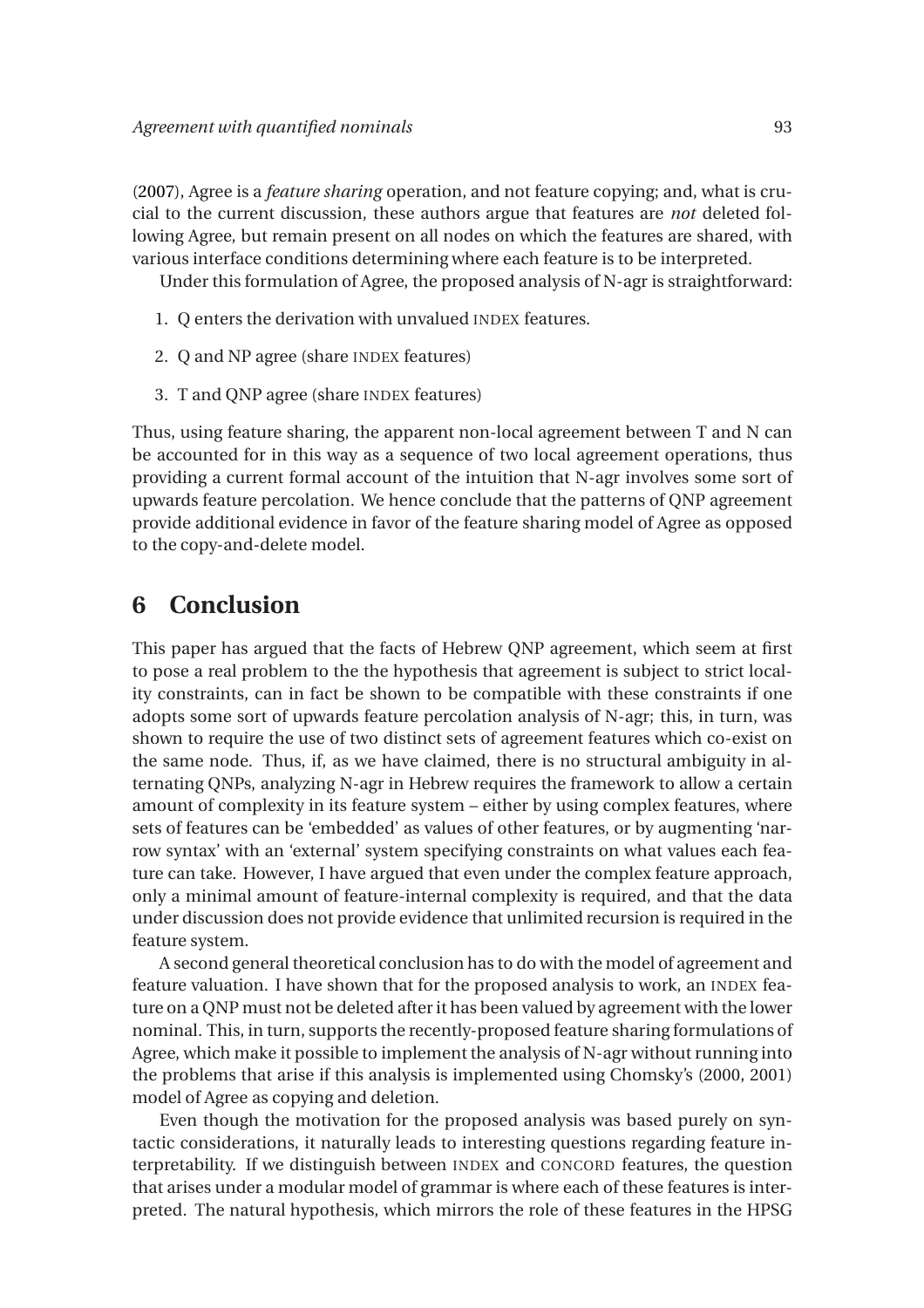[\(2007](#page-20-14)), Agree is a *feature sharing* operation, and not feature copying; and, what is crucial to the current discussion, these authors argue that features are *not* deleted following Agree, but remain present on all nodes on which the features are shared, with various interface conditions determining where each feature is to be interpreted.

Under this formulation of Agree, the proposed analysis of N-agr is straightforward:

- 1. Q enters the derivation with unvalued INDEX features.
- 2. Q and NP agree (share INDEX features)
- 3. T and QNP agree (share INDEX features)

Thus, using feature sharing, the apparent non-local agreement between T and N can be accounted for in this way as a sequence of two local agreement operations, thus providing a current formal account of the intuition that N-agr involves some sort of upwards feature percolation. We hence conclude that the patterns of QNP agreement provide additional evidence in favor of the feature sharing model of Agree as opposed to the copy-and-delete model.

# **6 Conclusion**

This paper has argued that the facts of Hebrew QNP agreement, which seem at first to pose a real problem to the the hypothesis that agreement is subject to strict locality constraints, can in fact be shown to be compatible with these constraints if one adopts some sort of upwards feature percolation analysis of N-agr; this, in turn, was shown to require the use of two distinct sets of agreement features which co-exist on the same node. Thus, if, as we have claimed, there is no structural ambiguity in alternating QNPs, analyzing N-agr in Hebrew requires the framework to allow a certain amount of complexity in its feature system – either by using complex features, where sets of features can be 'embedded' as values of other features, or by augmenting 'narrow syntax' with an 'external' system specifying constraints on what values each feature can take. However, I have argued that even under the complex feature approach, only a minimal amount of feature-internal complexity is required, and that the data under discussion does not provide evidence that unlimited recursion is required in the feature system.

A second general theoretical conclusion has to do with the model of agreement and feature valuation. I have shown that for the proposed analysis to work, an INDEX feature on a QNP must not be deleted after it has been valued by agreement with the lower nominal. This, in turn, supports the recently-proposed feature sharing formulations of Agree, which make it possible to implement the analysis of N-agr without running into the problems that arise if this analysis is implemented using Chomsky's (2000, 2001) model of Agree as copying and deletion.

Even though the motivation for the proposed analysis was based purely on syntactic considerations, it naturally leads to interesting questions regarding feature interpretability. If we distinguish between INDEX and CONCORD features, the question that arises under a modular model of grammar is where each of these features is interpreted. The natural hypothesis, which mirrors the role of these features in the HPSG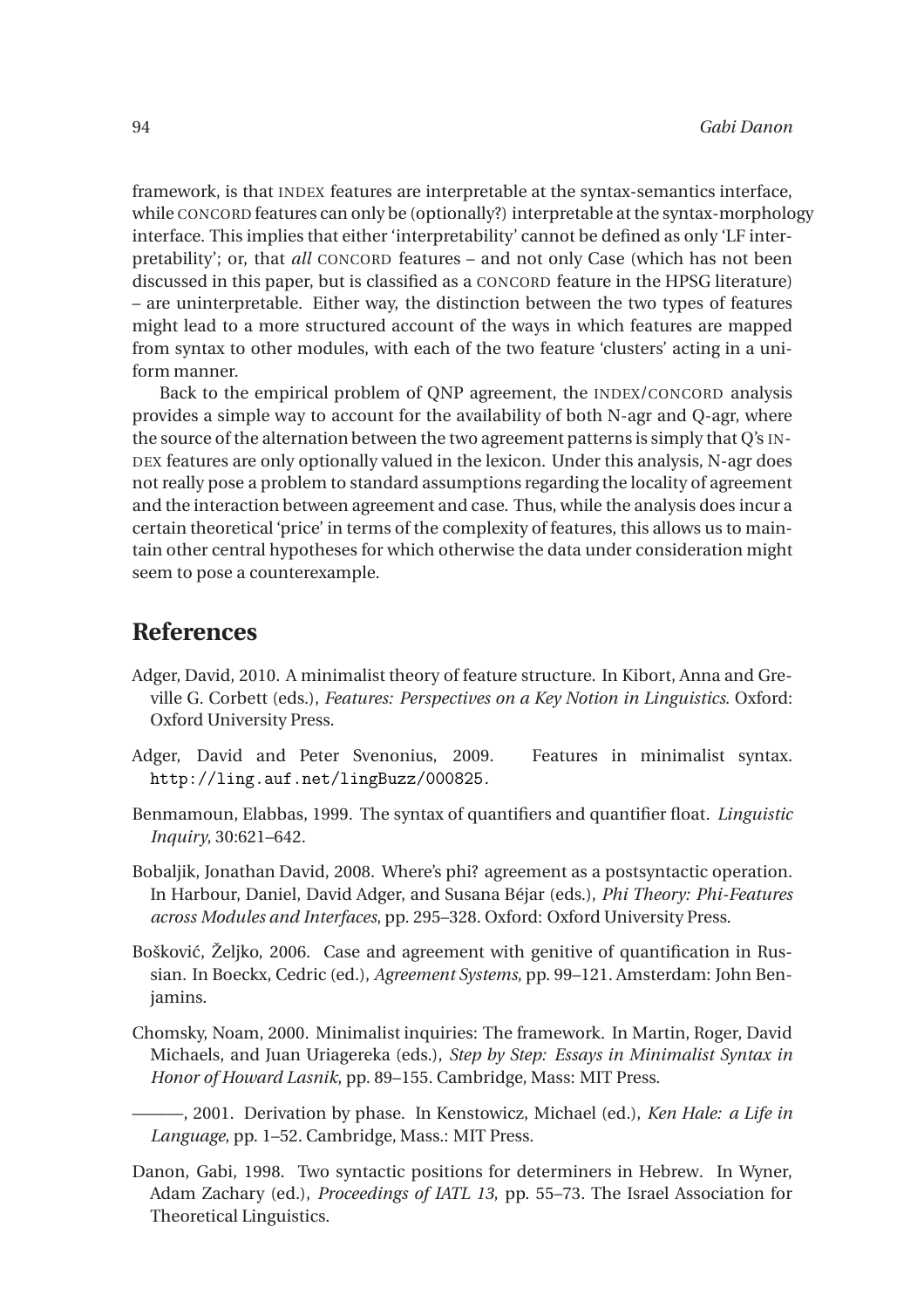framework, is that INDEX features are interpretable at the syntax-semantics interface, while CONCORD features can only be (optionally?) interpretable at the syntax-morphology interface. This implies that either 'interpretability' cannot be defined as only 'LF interpretability'; or, that *all* CONCORD features – and not only Case (which has not been discussed in this paper, but is classified as a CONCORD feature in the HPSG literature) – are uninterpretable. Either way, the distinction between the two types of features might lead to a more structured account of the ways in which features are mapped from syntax to other modules, with each of the two feature 'clusters' acting in a uniform manner.

Back to the empirical problem of QNP agreement, the INDEX/CONCORD analysis provides a simple way to account for the availability of both N-agr and Q-agr, where the source of the alternation between the two agreement patterns is simply that Q's IN-DEX features are only optionally valued in the lexicon. Under this analysis, N-agr does not really pose a problem to standard assumptions regarding the locality of agreement and the interaction between agreement and case. Thus, while the analysis does incur a certain theoretical 'price' in terms of the complexity of features, this allows us to maintain other central hypotheses for which otherwise the data under consideration might seem to pose a counterexample.

## **References**

- <span id="page-19-6"></span>Adger, David, 2010. A minimalist theory of feature structure. In Kibort, Anna and Greville G. Corbett (eds.), *Features: Perspectives on a Key Notion in Linguistics*. Oxford: Oxford University Press.
- <span id="page-19-7"></span>Adger, David and Peter Svenonius, 2009. Features in minimalist syntax. <http://ling.auf.net/lingBuzz/000825>.
- <span id="page-19-4"></span>Benmamoun, Elabbas, 1999. The syntax of quantifiers and quantifier float. *Linguistic Inquiry*, 30:621–642.
- <span id="page-19-2"></span>Bobaljik, Jonathan David, 2008. Where's phi? agreement as a postsyntactic operation. In Harbour, Daniel, David Adger, and Susana Béjar (eds.), *Phi Theory: Phi-Features across Modules and Interfaces*, pp. 295–328. Oxford: Oxford University Press.
- <span id="page-19-3"></span>Bošković, Željko, 2006. Case and agreement with genitive of quantification in Russian. In Boeckx, Cedric (ed.), *Agreement Systems*, pp. 99–121. Amsterdam: John Benjamins.
- <span id="page-19-0"></span>Chomsky, Noam, 2000. Minimalist inquiries: The framework. In Martin, Roger, David Michaels, and Juan Uriagereka (eds.), *Step by Step: Essays in Minimalist Syntax in Honor of Howard Lasnik*, pp. 89–155. Cambridge, Mass: MIT Press.

<span id="page-19-1"></span>———, 2001. Derivation by phase. In Kenstowicz, Michael (ed.), *Ken Hale: a Life in Language*, pp. 1–52. Cambridge, Mass.: MIT Press.

<span id="page-19-5"></span>Danon, Gabi, 1998. Two syntactic positions for determiners in Hebrew. In Wyner, Adam Zachary (ed.), *Proceedings of IATL 13*, pp. 55–73. The Israel Association for Theoretical Linguistics.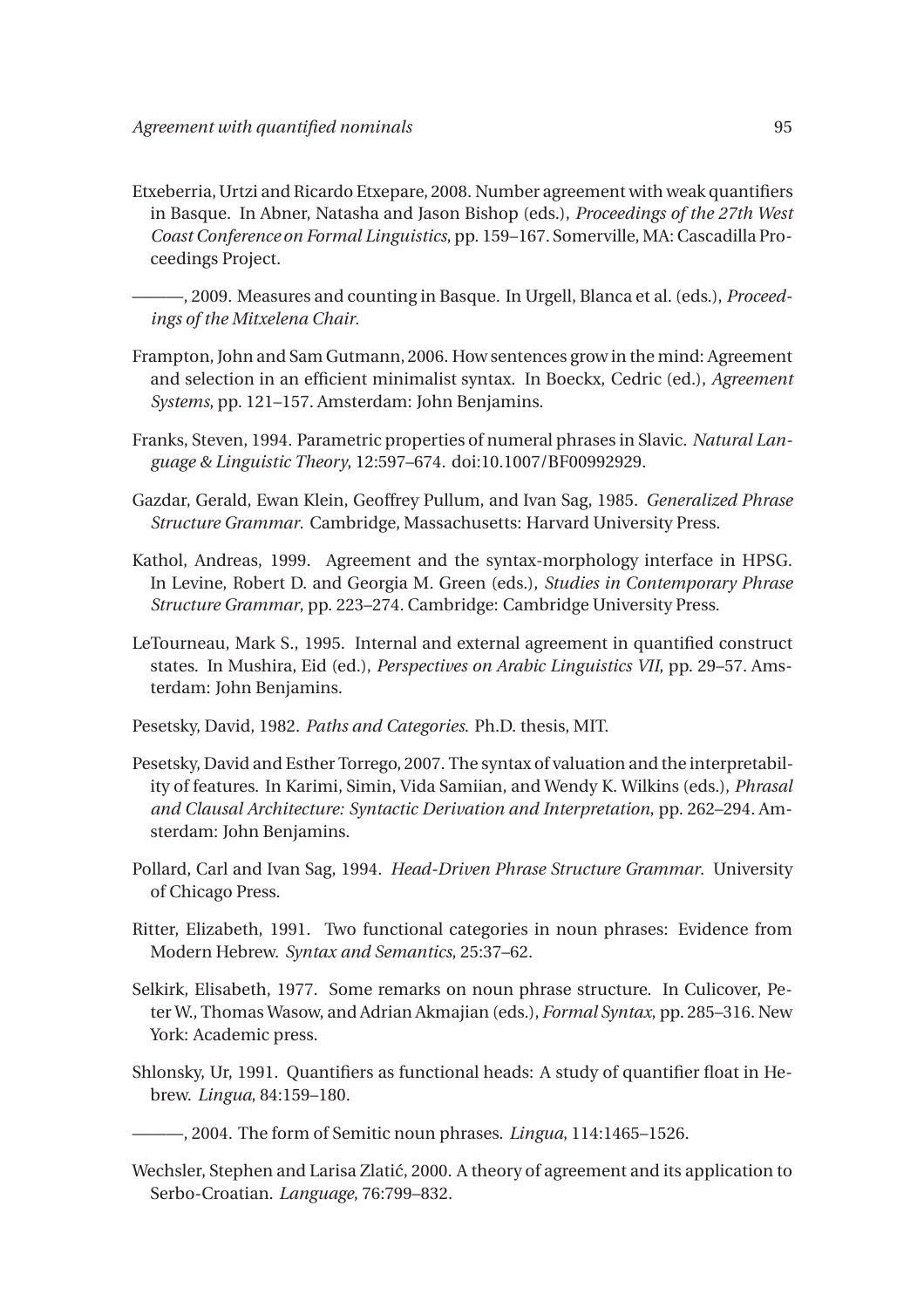<span id="page-20-4"></span>Etxeberria, Urtzi and Ricardo Etxepare, 2008. Number agreement with weak quantifiers in Basque. In Abner, Natasha and Jason Bishop (eds.), *Proceedings of the 27th West Coast Conference on Formal Linguistics*, pp. 159–167. Somerville, MA: Cascadilla Proceedings Project.

<span id="page-20-5"></span> $-$ , 2009. Measures and counting in Basque. In Urgell, Blanca et al. (eds.), *Proceedings of the Mitxelena Chair*.

- <span id="page-20-13"></span>Frampton, John and Sam Gutmann, 2006. How sentences grow in the mind: Agreement and selection in an efficient minimalist syntax. In Boeckx, Cedric (ed.), *Agreement Systems*, pp. 121–157. Amsterdam: John Benjamins.
- <span id="page-20-3"></span>Franks, Steven, 1994. Parametric properties of numeral phrases in Slavic. *Natural Language & Linguistic Theory*, 12:597–674. doi:10.1007/BF00992929.
- <span id="page-20-12"></span>Gazdar, Gerald, Ewan Klein, Geoffrey Pullum, and Ivan Sag, 1985. *Generalized Phrase Structure Grammar*. Cambridge, Massachusetts: Harvard University Press.
- <span id="page-20-11"></span>Kathol, Andreas, 1999. Agreement and the syntax-morphology interface in HPSG. In Levine, Robert D. and Georgia M. Green (eds.), *Studies in Contemporary Phrase Structure Grammar*, pp. 223–274. Cambridge: Cambridge University Press.
- <span id="page-20-1"></span>LeTourneau, Mark S., 1995. Internal and external agreement in quantified construct states. In Mushira, Eid (ed.), *Perspectives on Arabic Linguistics VII*, pp. 29–57. Amsterdam: John Benjamins.
- <span id="page-20-2"></span>Pesetsky, David, 1982. *Paths and Categories*. Ph.D. thesis, MIT.
- <span id="page-20-14"></span>Pesetsky, David and Esther Torrego, 2007. The syntax of valuation and the interpretability of features. In Karimi, Simin, Vida Samiian, and Wendy K. Wilkins (eds.), *Phrasal and Clausal Architecture: Syntactic Derivation and Interpretation*, pp. 262–294. Amsterdam: John Benjamins.
- <span id="page-20-10"></span>Pollard, Carl and Ivan Sag, 1994. *Head-Driven Phrase Structure Grammar*. University of Chicago Press.
- <span id="page-20-6"></span>Ritter, Elizabeth, 1991. Two functional categories in noun phrases: Evidence from Modern Hebrew. *Syntax and Semantics*, 25:37–62.
- <span id="page-20-0"></span>Selkirk, Elisabeth, 1977. Some remarks on noun phrase structure. In Culicover, Peter W., Thomas Wasow, and Adrian Akmajian (eds.), *Formal Syntax*, pp. 285–316. New York: Academic press.
- <span id="page-20-7"></span>Shlonsky, Ur, 1991. Quantifiers as functional heads: A study of quantifier float in Hebrew. *Lingua*, 84:159–180.

<span id="page-20-8"></span>———, 2004. The form of Semitic noun phrases. *Lingua*, 114:1465–1526.

<span id="page-20-9"></span>Wechsler, Stephen and Larisa Zlatić, 2000. A theory of agreement and its application to Serbo-Croatian. *Language*, 76:799–832.